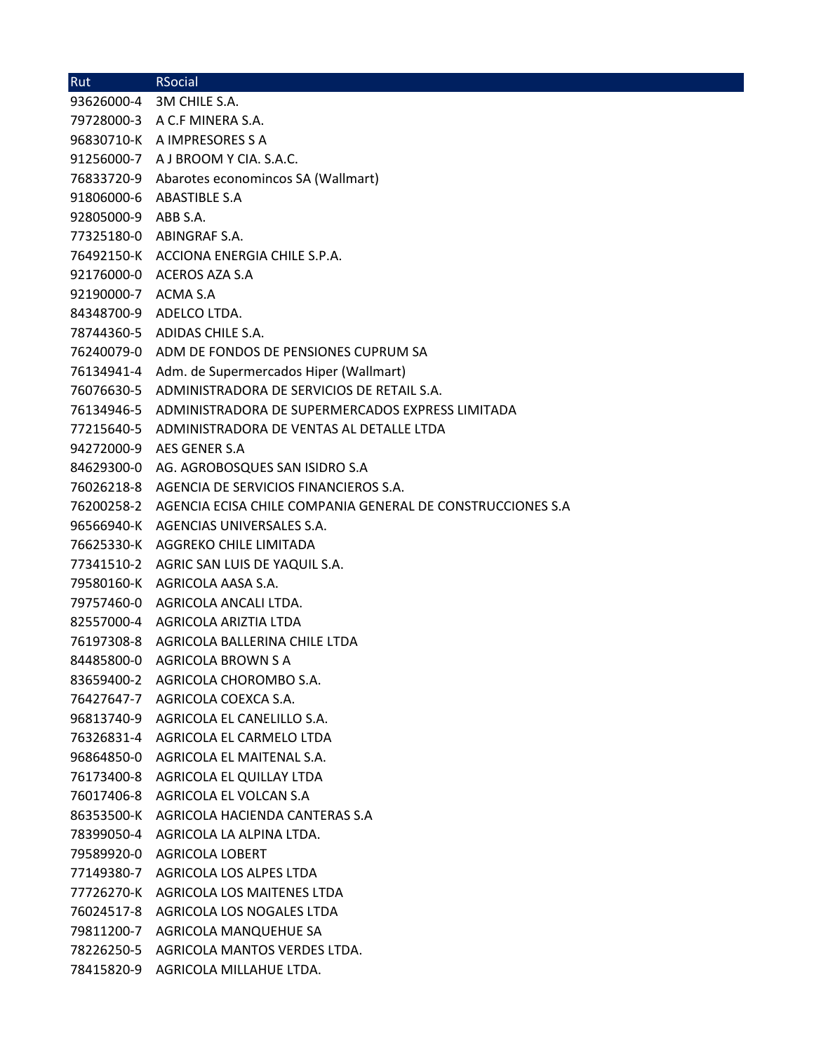| Rut                 | <b>RSocial</b>                                                         |
|---------------------|------------------------------------------------------------------------|
|                     | 93626000-4 3M CHILE S.A.                                               |
|                     | 79728000-3 A C.F MINERA S.A.                                           |
|                     | 96830710-K A IMPRESORES S A                                            |
|                     | 91256000-7 A J BROOM Y CIA. S.A.C.                                     |
|                     | 76833720-9 Abarotes economincos SA (Wallmart)                          |
|                     | 91806000-6 ABASTIBLE S.A                                               |
| 92805000-9 ABB S.A. |                                                                        |
|                     | 77325180-0 ABINGRAF S.A.                                               |
|                     | 76492150-K ACCIONA ENERGIA CHILE S.P.A.                                |
|                     | 92176000-0 ACEROS AZA S.A                                              |
| 92190000-7 ACMA S.A |                                                                        |
|                     | 84348700-9 ADELCO LTDA.                                                |
|                     | 78744360-5 ADIDAS CHILE S.A.                                           |
|                     | 76240079-0 ADM DE FONDOS DE PENSIONES CUPRUM SA                        |
|                     | 76134941-4 Adm. de Supermercados Hiper (Wallmart)                      |
|                     | 76076630-5 ADMINISTRADORA DE SERVICIOS DE RETAIL S.A.                  |
|                     | 76134946-5 ADMINISTRADORA DE SUPERMERCADOS EXPRESS LIMITADA            |
| 77215640-5          | ADMINISTRADORA DE VENTAS AL DETALLE LTDA                               |
|                     | 94272000-9 AES GENER S.A                                               |
|                     | 84629300-0 AG. AGROBOSQUES SAN ISIDRO S.A                              |
|                     | 76026218-8 AGENCIA DE SERVICIOS FINANCIEROS S.A.                       |
|                     | 76200258-2  AGENCIA ECISA CHILE COMPANIA GENERAL DE CONSTRUCCIONES S.A |
|                     | 96566940-K AGENCIAS UNIVERSALES S.A.                                   |
|                     | 76625330-K AGGREKO CHILE LIMITADA                                      |
|                     | 77341510-2 AGRIC SAN LUIS DE YAQUIL S.A.                               |
|                     | 79580160-K AGRICOLA AASA S.A.                                          |
| 79757460-0          | AGRICOLA ANCALI LTDA.                                                  |
|                     | 82557000-4 AGRICOLA ARIZTIA LTDA                                       |
|                     | 76197308-8 AGRICOLA BALLERINA CHILE LTDA                               |
| 84485800-0          | AGRICOLA BROWN S A                                                     |
| 83659400-2          | AGRICOLA CHOROMBO S.A.                                                 |
| 76427647-7          | AGRICOLA COEXCA S.A.                                                   |
| 96813740-9          | AGRICOLA EL CANELILLO S.A.                                             |
| 76326831-4          | AGRICOLA EL CARMELO LTDA                                               |
| 96864850-0          | AGRICOLA EL MAITENAL S.A.                                              |
| 76173400-8          | AGRICOLA EL QUILLAY LTDA                                               |
| 76017406-8          | AGRICOLA EL VOLCAN S.A                                                 |
|                     | 86353500-K AGRICOLA HACIENDA CANTERAS S.A                              |
| 78399050-4          | AGRICOLA LA ALPINA LTDA.                                               |
| 79589920-0          | <b>AGRICOLA LOBERT</b>                                                 |
| 77149380-7          | AGRICOLA LOS ALPES LTDA                                                |
| 77726270-K          | AGRICOLA LOS MAITENES LTDA                                             |
| 76024517-8          | AGRICOLA LOS NOGALES LTDA                                              |
| 79811200-7          | AGRICOLA MANQUEHUE SA                                                  |
| 78226250-5          | AGRICOLA MANTOS VERDES LTDA.                                           |
| 78415820-9          | AGRICOLA MILLAHUE LTDA.                                                |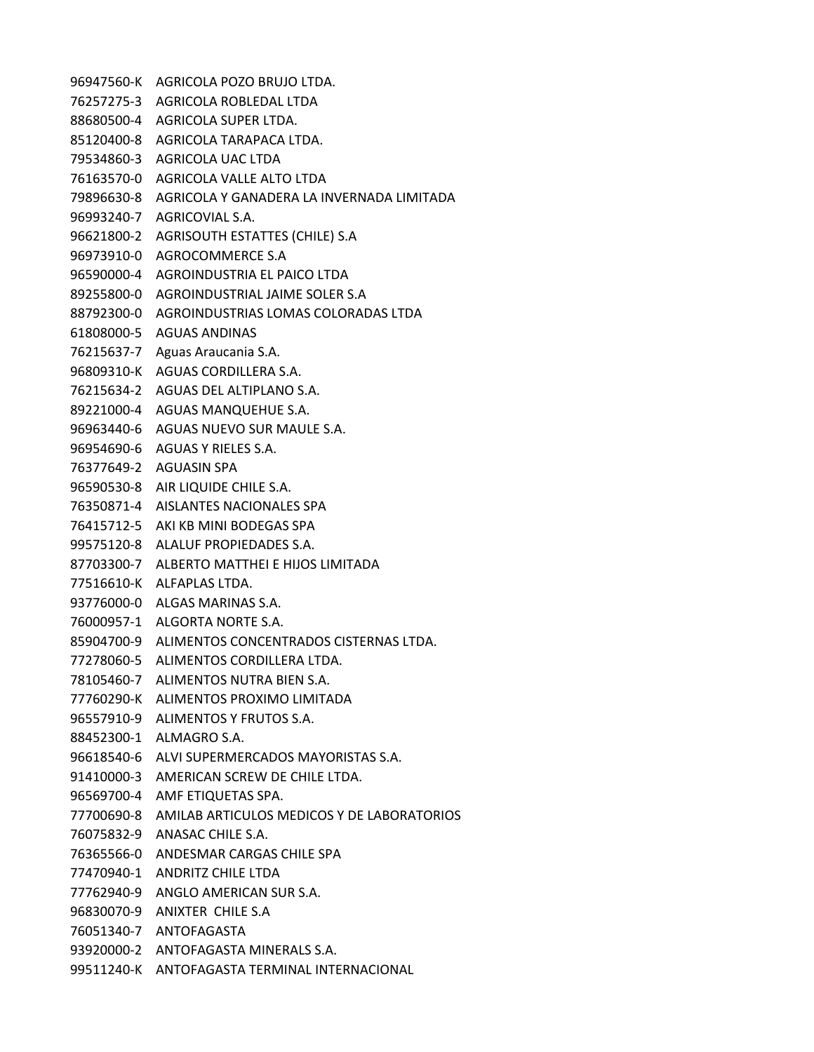96947560-K AGRICOLA POZO BRUJO LTDA. 76257275-3 AGRICOLA ROBLEDAL LTDA 88680500-4 AGRICOLA SUPER LTDA. 85120400-8 AGRICOLA TARAPACA LTDA. 79534860-3 AGRICOLA UAC LTDA 76163570-0 AGRICOLA VALLE ALTO LTDA 79896630-8 AGRICOLA Y GANADERA LA INVERNADA LIMITADA 96993240-7 AGRICOVIAL S.A. 96621800-2 AGRISOUTH ESTATTES (CHILE) S.A 96973910-0 AGROCOMMERCE S.A 96590000-4 AGROINDUSTRIA EL PAICO LTDA 89255800-0 AGROINDUSTRIAL JAIME SOLER S.A 88792300-0 AGROINDUSTRIAS LOMAS COLORADAS LTDA 61808000-5 AGUAS ANDINAS 76215637-7 Aguas Araucania S.A. 96809310-K AGUAS CORDILLERA S.A. 76215634-2 AGUAS DEL ALTIPLANO S.A. 89221000-4 AGUAS MANQUEHUE S.A. 96963440-6 AGUAS NUEVO SUR MAULE S.A. 96954690-6 AGUAS Y RIELES S.A. 76377649-2 AGUASIN SPA 96590530-8 AIR LIQUIDE CHILE S.A. 76350871-4 AISLANTES NACIONALES SPA 76415712-5 AKI KB MINI BODEGAS SPA 99575120-8 ALALUF PROPIEDADES S.A. 87703300-7 ALBERTO MATTHEI E HIJOS LIMITADA 77516610-K ALFAPLAS LTDA. 93776000-0 ALGAS MARINAS S.A. 76000957-1 ALGORTA NORTE S.A. 85904700-9 ALIMENTOS CONCENTRADOS CISTERNAS LTDA. 77278060-5 ALIMENTOS CORDILLERA LTDA. 78105460-7 ALIMENTOS NUTRA BIEN S.A. 77760290-K ALIMENTOS PROXIMO LIMITADA 96557910-9 ALIMENTOS Y FRUTOS S.A. 88452300-1 ALMAGRO S.A. 96618540-6 ALVI SUPERMERCADOS MAYORISTAS S.A. 91410000-3 AMERICAN SCREW DE CHILE LTDA. 96569700-4 AMF ETIQUETAS SPA. 77700690-8 AMILAB ARTICULOS MEDICOS Y DE LABORATORIOS 76075832-9 ANASAC CHILE S.A. 76365566-0 ANDESMAR CARGAS CHILE SPA 77470940-1 ANDRITZ CHILE LTDA 77762940-9 ANGLO AMERICAN SUR S.A. 96830070-9 ANIXTER CHILE S.A 76051340-7 ANTOFAGASTA 93920000-2 ANTOFAGASTA MINERALS S.A. 99511240-K ANTOFAGASTA TERMINAL INTERNACIONAL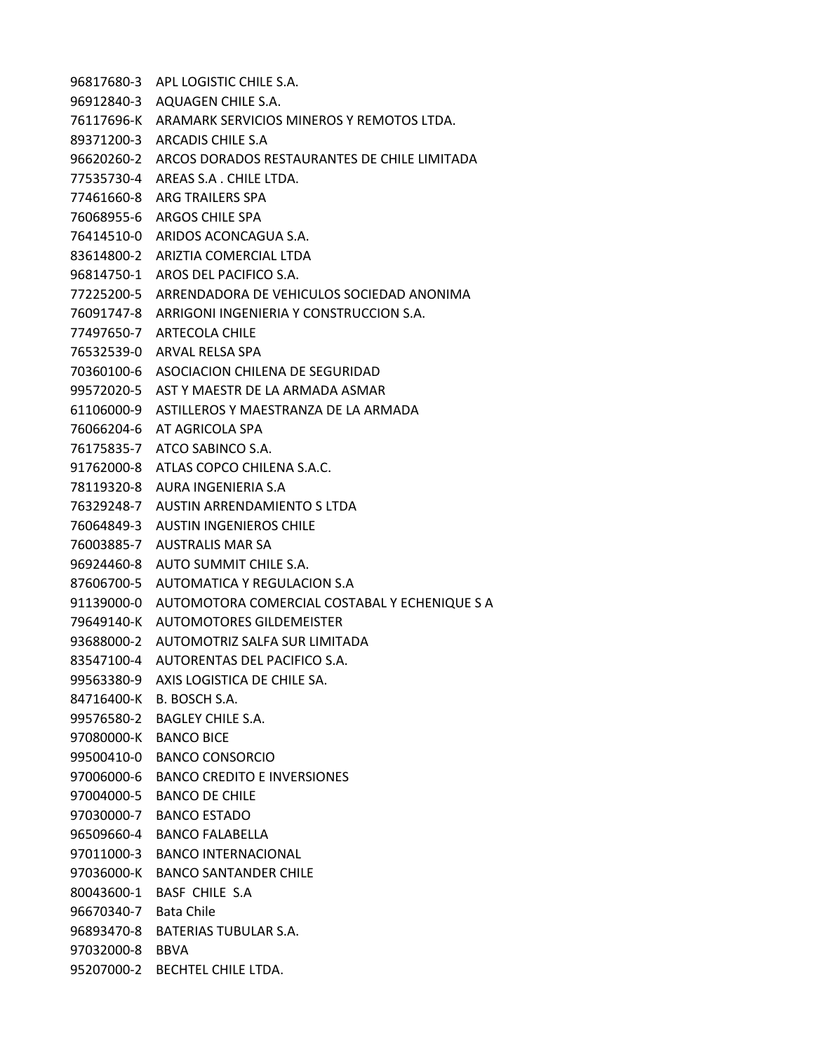96817680-3 APL LOGISTIC CHILE S.A. 96912840-3 AQUAGEN CHILE S.A. 76117696-K ARAMARK SERVICIOS MINEROS Y REMOTOS LTDA. 89371200-3 ARCADIS CHILE S.A 96620260-2 ARCOS DORADOS RESTAURANTES DE CHILE LIMITADA 77535730-4 AREAS S.A . CHILE LTDA. 77461660-8 ARG TRAILERS SPA 76068955-6 ARGOS CHILE SPA 76414510-0 ARIDOS ACONCAGUA S.A. 83614800-2 ARIZTIA COMERCIAL LTDA 96814750-1 AROS DEL PACIFICO S.A. 77225200-5 ARRENDADORA DE VEHICULOS SOCIEDAD ANONIMA 76091747-8 ARRIGONI INGENIERIA Y CONSTRUCCION S.A. 77497650-7 ARTECOLA CHILE 76532539-0 ARVAL RELSA SPA 70360100-6 ASOCIACION CHILENA DE SEGURIDAD 99572020-5 AST Y MAESTR DE LA ARMADA ASMAR 61106000-9 ASTILLEROS Y MAESTRANZA DE LA ARMADA 76066204-6 AT AGRICOLA SPA 76175835-7 ATCO SABINCO S.A. 91762000-8 ATLAS COPCO CHILENA S.A.C. 78119320-8 AURA INGENIERIA S.A 76329248-7 AUSTIN ARRENDAMIENTO S LTDA 76064849-3 AUSTIN INGENIEROS CHILE 76003885-7 AUSTRALIS MAR SA 96924460-8 AUTO SUMMIT CHILE S.A. 87606700-5 AUTOMATICA Y REGULACION S.A 91139000-0 AUTOMOTORA COMERCIAL COSTABAL Y ECHENIQUE S A 79649140-K AUTOMOTORES GILDEMEISTER 93688000-2 AUTOMOTRIZ SALFA SUR LIMITADA 83547100-4 AUTORENTAS DEL PACIFICO S.A. 99563380-9 AXIS LOGISTICA DE CHILE SA. 84716400-K B. BOSCH S.A. 99576580-2 BAGLEY CHILE S.A. 97080000-K BANCO BICE 99500410-0 BANCO CONSORCIO 97006000-6 BANCO CREDITO E INVERSIONES 97004000-5 BANCO DE CHILE 97030000-7 BANCO ESTADO 96509660-4 BANCO FALABELLA 97011000-3 BANCO INTERNACIONAL 97036000-K BANCO SANTANDER CHILE 80043600-1 BASF CHILE S.A 96670340-7 Bata Chile 96893470-8 BATERIAS TUBULAR S.A. 97032000-8 BBVA 95207000-2 BECHTEL CHILE LTDA.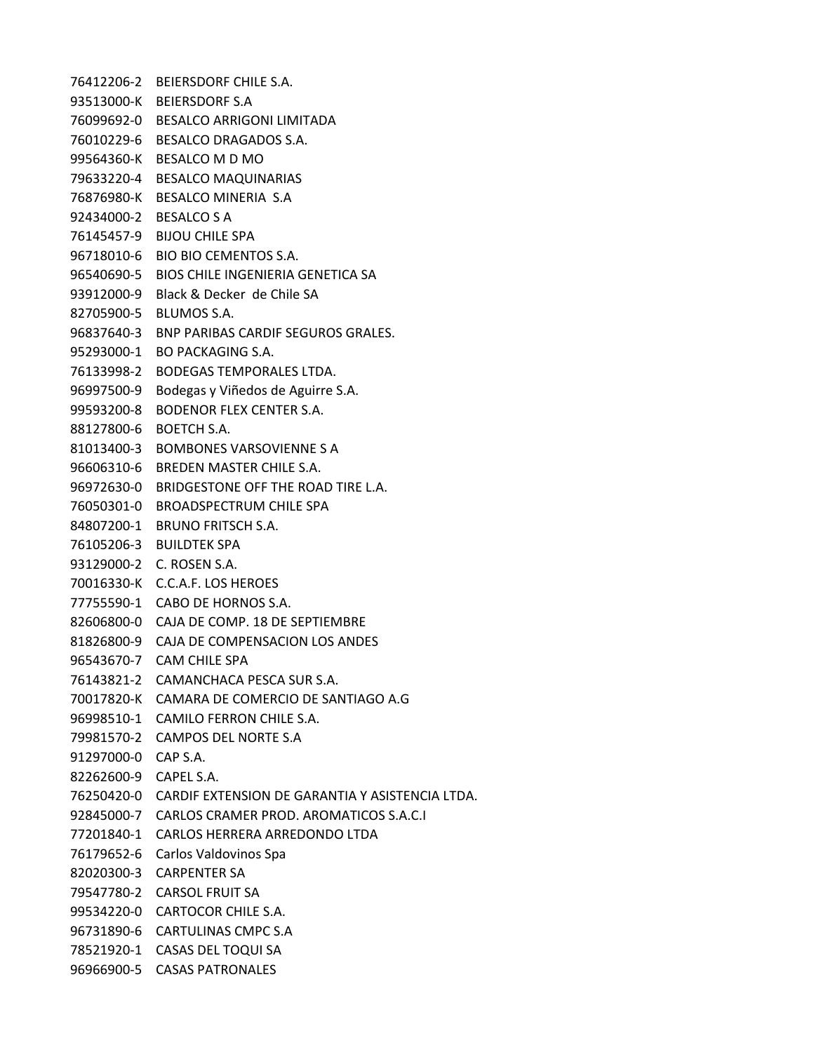76412206-2 BEIERSDORF CHILE S.A. 93513000-K BEIERSDORF S.A 76099692-0 BESALCO ARRIGONI LIMITADA 76010229-6 BESALCO DRAGADOS S.A. 99564360-K BESALCO M D MO 79633220-4 BESALCO MAQUINARIAS 76876980-K BESALCO MINERIA S.A 92434000-2 BESALCO S A 76145457-9 BIJOU CHILE SPA 96718010-6 BIO BIO CEMENTOS S.A. 96540690-5 BIOS CHILE INGENIERIA GENETICA SA 93912000-9 Black & Decker de Chile SA 82705900-5 BLUMOS S.A. 96837640-3 BNP PARIBAS CARDIF SEGUROS GRALES. 95293000-1 BO PACKAGING S.A. 76133998-2 BODEGAS TEMPORALES LTDA. 96997500-9 Bodegas y Viñedos de Aguirre S.A. 99593200-8 BODENOR FLEX CENTER S.A. 88127800-6 BOETCH S.A. 81013400-3 BOMBONES VARSOVIENNE S A 96606310-6 BREDEN MASTER CHILE S.A. 96972630-0 BRIDGESTONE OFF THE ROAD TIRE L.A. 76050301-0 BROADSPECTRUM CHILE SPA 84807200-1 BRUNO FRITSCH S.A. 76105206-3 BUILDTEK SPA 93129000-2 C. ROSEN S.A. 70016330-K C.C.A.F. LOS HEROES 77755590-1 CABO DE HORNOS S.A. 82606800-0 CAJA DE COMP. 18 DE SEPTIEMBRE 81826800-9 CAJA DE COMPENSACION LOS ANDES 96543670-7 CAM CHILE SPA 76143821-2 CAMANCHACA PESCA SUR S.A. 70017820-K CAMARA DE COMERCIO DE SANTIAGO A.G 96998510-1 CAMILO FERRON CHILE S.A. 79981570-2 CAMPOS DEL NORTE S.A 91297000-0 CAP S.A. 82262600-9 CAPEL S.A. 76250420-0 CARDIF EXTENSION DE GARANTIA Y ASISTENCIA LTDA. 92845000-7 CARLOS CRAMER PROD. AROMATICOS S.A.C.I 77201840-1 CARLOS HERRERA ARREDONDO LTDA 76179652-6 Carlos Valdovinos Spa 82020300-3 CARPENTER SA 79547780-2 CARSOL FRUIT SA 99534220-0 CARTOCOR CHILE S.A. 96731890-6 CARTULINAS CMPC S.A 78521920-1 CASAS DEL TOQUI SA 96966900-5 CASAS PATRONALES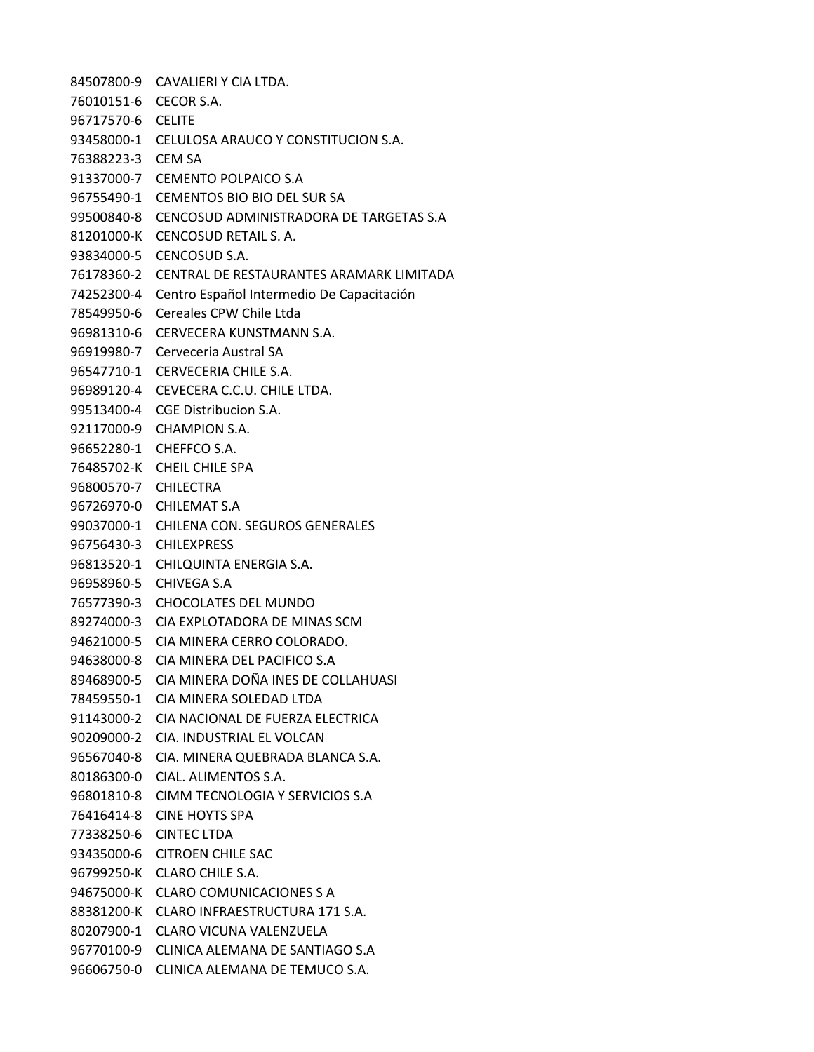84507800-9 CAVALIERI Y CIA LTDA. 76010151-6 CECOR S.A. 96717570-6 CELITE 93458000-1 CELULOSA ARAUCO Y CONSTITUCION S.A. 76388223-3 CEM SA 91337000-7 CEMENTO POLPAICO S.A 96755490-1 CEMENTOS BIO BIO DEL SUR SA 99500840-8 CENCOSUD ADMINISTRADORA DE TARGETAS S.A 81201000-K CENCOSUD RETAIL S. A. 93834000-5 CENCOSUD S.A. 76178360-2 CENTRAL DE RESTAURANTES ARAMARK LIMITADA 74252300-4 Centro Español Intermedio De Capacitación 78549950-6 Cereales CPW Chile Ltda 96981310-6 CERVECERA KUNSTMANN S.A. 96919980-7 Cerveceria Austral SA 96547710-1 CERVECERIA CHILE S.A. 96989120-4 CEVECERA C.C.U. CHILE LTDA. 99513400-4 CGE Distribucion S.A. 92117000-9 CHAMPION S.A. 96652280-1 CHEFFCO S.A. 76485702-K CHEIL CHILE SPA 96800570-7 CHILECTRA 96726970-0 CHILEMAT S.A 99037000-1 CHILENA CON. SEGUROS GENERALES 96756430-3 CHILEXPRESS 96813520-1 CHILQUINTA ENERGIA S.A. 96958960-5 CHIVEGA S.A 76577390-3 CHOCOLATES DEL MUNDO 89274000-3 CIA EXPLOTADORA DE MINAS SCM 94621000-5 CIA MINERA CERRO COLORADO. 94638000-8 CIA MINERA DEL PACIFICO S.A 89468900-5 CIA MINERA DOÑA INES DE COLLAHUASI 78459550-1 CIA MINERA SOLEDAD LTDA 91143000-2 CIA NACIONAL DE FUERZA ELECTRICA 90209000-2 CIA. INDUSTRIAL EL VOLCAN 96567040-8 CIA. MINERA QUEBRADA BLANCA S.A. 80186300-0 CIAL. ALIMENTOS S.A. 96801810-8 CIMM TECNOLOGIA Y SERVICIOS S.A 76416414-8 CINE HOYTS SPA 77338250-6 CINTEC LTDA 93435000-6 CITROEN CHILE SAC 96799250-K CLARO CHILE S.A. 94675000-K CLARO COMUNICACIONES S A 88381200-K CLARO INFRAESTRUCTURA 171 S.A. 80207900-1 CLARO VICUNA VALENZUELA 96770100-9 CLINICA ALEMANA DE SANTIAGO S.A 96606750-0 CLINICA ALEMANA DE TEMUCO S.A.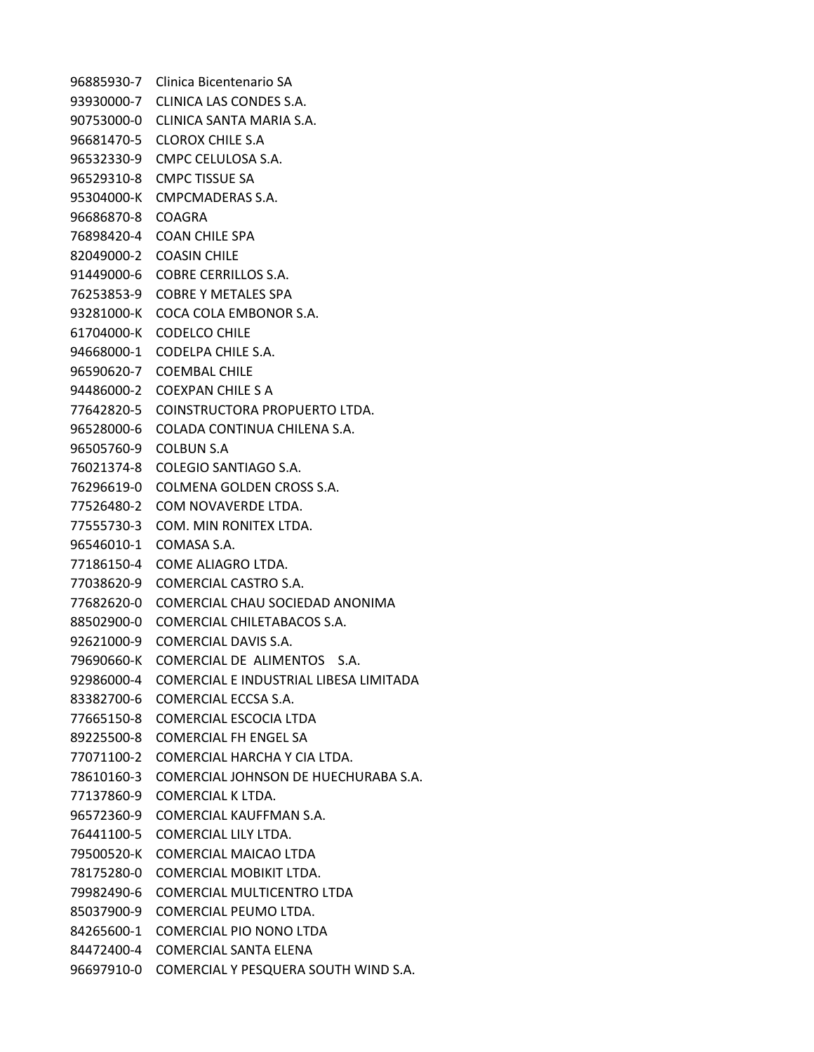96885930-7 Clinica Bicentenario SA 93930000-7 CLINICA LAS CONDES S.A. 90753000-0 CLINICA SANTA MARIA S.A. 96681470-5 CLOROX CHILE S.A 96532330-9 CMPC CELULOSA S.A. 96529310-8 CMPC TISSUE SA 95304000-K CMPCMADERAS S.A. 96686870-8 COAGRA 76898420-4 COAN CHILE SPA 82049000-2 COASIN CHILE 91449000-6 COBRE CERRILLOS S.A. 76253853-9 COBRE Y METALES SPA 93281000-K COCA COLA EMBONOR S.A. 61704000-K CODELCO CHILE 94668000-1 CODELPA CHILE S.A. 96590620-7 COEMBAL CHILE 94486000-2 COEXPAN CHILE S A 77642820-5 COINSTRUCTORA PROPUERTO LTDA. 96528000-6 COLADA CONTINUA CHILENA S.A. 96505760-9 COLBUN S.A 76021374-8 COLEGIO SANTIAGO S.A. 76296619-0 COLMENA GOLDEN CROSS S.A. 77526480-2 COM NOVAVERDE LTDA. 77555730-3 COM. MIN RONITEX LTDA. 96546010-1 COMASA S.A. 77186150-4 COME ALIAGRO LTDA. 77038620-9 COMERCIAL CASTRO S.A. 77682620-0 COMERCIAL CHAU SOCIEDAD ANONIMA 88502900-0 COMERCIAL CHILETABACOS S.A. 92621000-9 COMERCIAL DAVIS S.A. 79690660-K COMERCIAL DE ALIMENTOS S.A. 92986000-4 COMERCIAL E INDUSTRIAL LIBESA LIMITADA 83382700-6 COMERCIAL ECCSA S.A. 77665150-8 COMERCIAL ESCOCIA LTDA 89225500-8 COMERCIAL FH ENGEL SA 77071100-2 COMERCIAL HARCHA Y CIA LTDA. 78610160-3 COMERCIAL JOHNSON DE HUECHURABA S.A. 77137860-9 COMERCIAL K LTDA. 96572360-9 COMERCIAL KAUFFMAN S.A. 76441100-5 COMERCIAL LILY LTDA. 79500520-K COMERCIAL MAICAO LTDA 78175280-0 COMERCIAL MOBIKIT LTDA. 79982490-6 COMERCIAL MULTICENTRO LTDA 85037900-9 COMERCIAL PEUMO LTDA. 84265600-1 COMERCIAL PIO NONO LTDA 84472400-4 COMERCIAL SANTA ELENA 96697910-0 COMERCIAL Y PESQUERA SOUTH WIND S.A.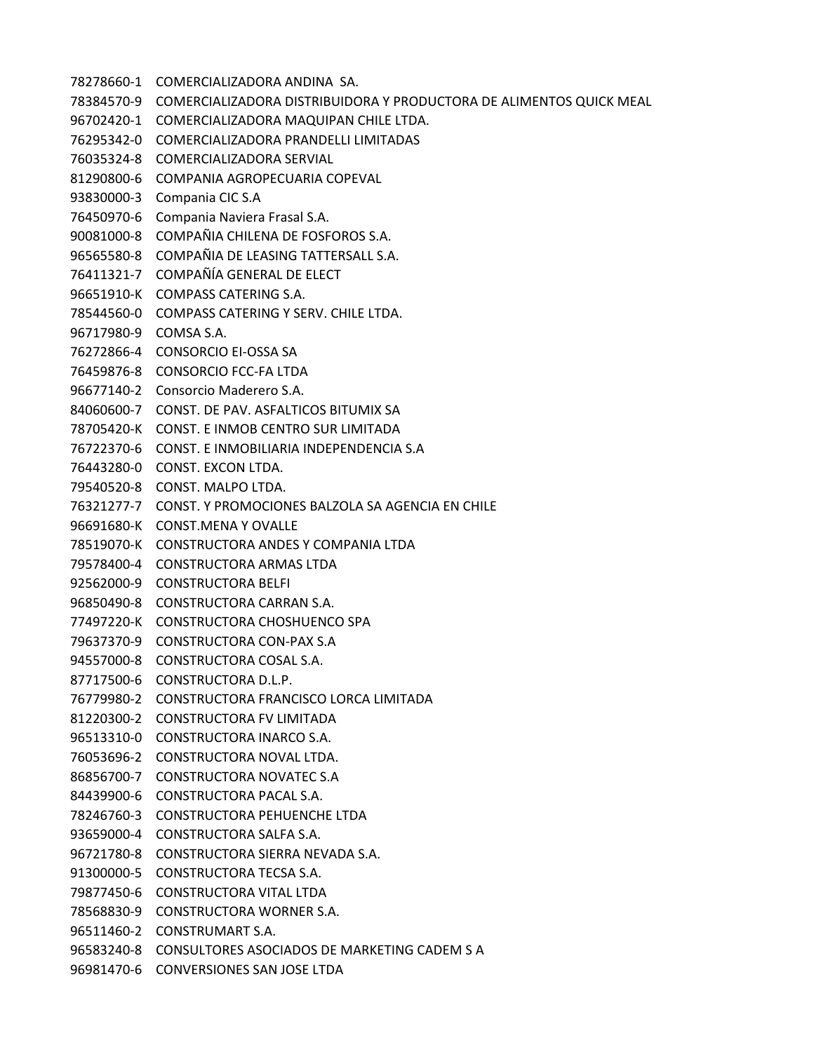78278660-1 COMERCIALIZADORA ANDINA SA. 78384570-9 COMERCIALIZADORA DISTRIBUIDORA Y PRODUCTORA DE ALIMENTOS QUICK MEAL 96702420-1 COMERCIALIZADORA MAQUIPAN CHILE LTDA. 76295342-0 COMERCIALIZADORA PRANDELLI LIMITADAS 76035324-8 COMERCIALIZADORA SERVIAL 81290800-6 COMPANIA AGROPECUARIA COPEVAL 93830000-3 Compania CIC S.A 76450970-6 Compania Naviera Frasal S.A. 90081000-8 COMPAÑIA CHILENA DE FOSFOROS S.A. 96565580-8 COMPAÑIA DE LEASING TATTERSALL S.A. 76411321-7 COMPAÑÍA GENERAL DE ELECT 96651910-K COMPASS CATERING S.A. 78544560-0 COMPASS CATERING Y SERV. CHILE LTDA. 96717980-9 COMSA S.A. 76272866-4 CONSORCIO EI-OSSA SA 76459876-8 CONSORCIO FCC-FA LTDA 96677140-2 Consorcio Maderero S.A. 84060600-7 CONST. DE PAV. ASFALTICOS BITUMIX SA 78705420-K CONST. E INMOB CENTRO SUR LIMITADA 76722370-6 CONST. E INMOBILIARIA INDEPENDENCIA S.A 76443280-0 CONST. EXCON LTDA. 79540520-8 CONST. MALPO LTDA. 76321277-7 CONST. Y PROMOCIONES BALZOLA SA AGENCIA EN CHILE 96691680-K CONST.MENA Y OVALLE 78519070-K CONSTRUCTORA ANDES Y COMPANIA LTDA 79578400-4 CONSTRUCTORA ARMAS LTDA 92562000-9 CONSTRUCTORA BELFI 96850490-8 CONSTRUCTORA CARRAN S.A. 77497220-K CONSTRUCTORA CHOSHUENCO SPA 79637370-9 CONSTRUCTORA CON-PAX S.A 94557000-8 CONSTRUCTORA COSAL S.A. 87717500-6 CONSTRUCTORA D.L.P. 76779980-2 CONSTRUCTORA FRANCISCO LORCA LIMITADA 81220300-2 CONSTRUCTORA FV LIMITADA 96513310-0 CONSTRUCTORA INARCO S.A. 76053696-2 CONSTRUCTORA NOVAL LTDA. 86856700-7 CONSTRUCTORA NOVATEC S.A 84439900-6 CONSTRUCTORA PACAL S.A. 78246760-3 CONSTRUCTORA PEHUENCHE LTDA 93659000-4 CONSTRUCTORA SALFA S.A. 96721780-8 CONSTRUCTORA SIERRA NEVADA S.A. 91300000-5 CONSTRUCTORA TECSA S.A. 79877450-6 CONSTRUCTORA VITAL LTDA 78568830-9 CONSTRUCTORA WORNER S.A. 96511460-2 CONSTRUMART S.A. 96583240-8 CONSULTORES ASOCIADOS DE MARKETING CADEM S A 96981470-6 CONVERSIONES SAN JOSE LTDA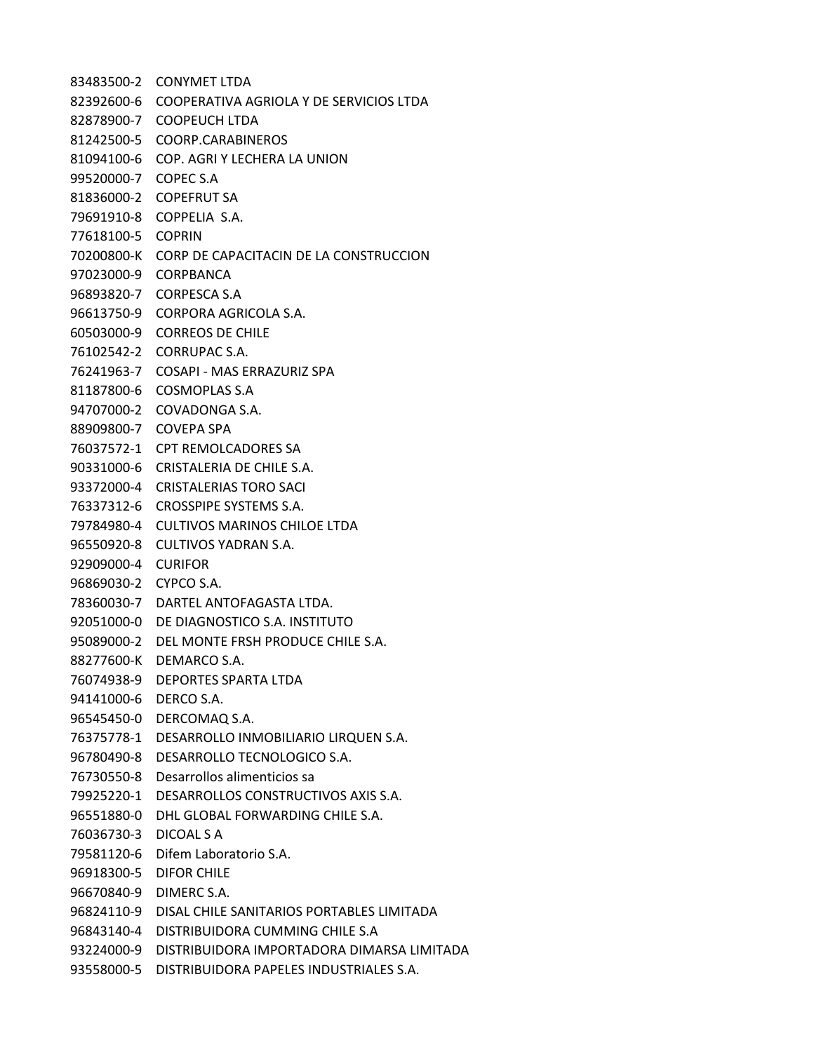83483500-2 CONYMET LTDA 82392600-6 COOPERATIVA AGRIOLA Y DE SERVICIOS LTDA 82878900-7 COOPEUCH LTDA 81242500-5 COORP.CARABINEROS 81094100-6 COP. AGRI Y LECHERA LA UNION 99520000-7 COPEC S.A 81836000-2 COPEFRUT SA 79691910-8 COPPELIA S.A. 77618100-5 COPRIN 70200800-K CORP DE CAPACITACIN DE LA CONSTRUCCION 97023000-9 CORPBANCA 96893820-7 CORPESCA S.A 96613750-9 CORPORA AGRICOLA S.A. 60503000-9 CORREOS DE CHILE 76102542-2 CORRUPAC S.A. 76241963-7 COSAPI - MAS ERRAZURIZ SPA 81187800-6 COSMOPLAS S.A 94707000-2 COVADONGA S.A. 88909800-7 COVEPA SPA 76037572-1 CPT REMOLCADORES SA 90331000-6 CRISTALERIA DE CHILE S.A. 93372000-4 CRISTALERIAS TORO SACI 76337312-6 CROSSPIPE SYSTEMS S.A. 79784980-4 CULTIVOS MARINOS CHILOE LTDA 96550920-8 CULTIVOS YADRAN S.A. 92909000-4 CURIFOR 96869030-2 CYPCO S.A. 78360030-7 DARTEL ANTOFAGASTA LTDA. 92051000-0 DE DIAGNOSTICO S.A. INSTITUTO 95089000-2 DEL MONTE FRSH PRODUCE CHILE S.A. 88277600-K DEMARCO S.A. 76074938-9 DEPORTES SPARTA LTDA 94141000-6 DERCO S.A. 96545450-0 DERCOMAQ S.A. 76375778-1 DESARROLLO INMOBILIARIO LIRQUEN S.A. 96780490-8 DESARROLLO TECNOLOGICO S.A. 76730550-8 Desarrollos alimenticios sa 79925220-1 DESARROLLOS CONSTRUCTIVOS AXIS S.A. 96551880-0 DHL GLOBAL FORWARDING CHILE S.A. 76036730-3 DICOAL S A 79581120-6 Difem Laboratorio S.A. 96918300-5 DIFOR CHILE 96670840-9 DIMERC S.A. 96824110-9 DISAL CHILE SANITARIOS PORTABLES LIMITADA 96843140-4 DISTRIBUIDORA CUMMING CHILE S.A 93224000-9 DISTRIBUIDORA IMPORTADORA DIMARSA LIMITADA 93558000-5 DISTRIBUIDORA PAPELES INDUSTRIALES S.A.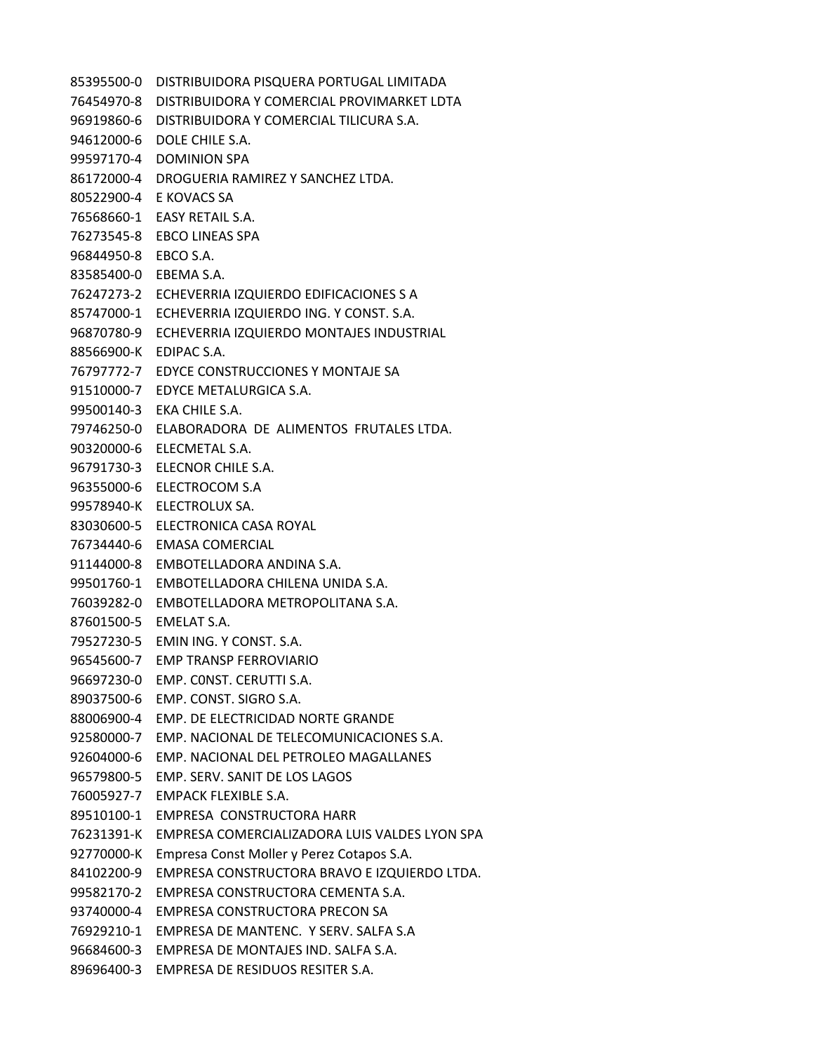85395500-0 DISTRIBUIDORA PISQUERA PORTUGAL LIMITADA 76454970-8 DISTRIBUIDORA Y COMERCIAL PROVIMARKET LDTA 96919860-6 DISTRIBUIDORA Y COMERCIAL TILICURA S.A. 94612000-6 DOLE CHILE S.A. 99597170-4 DOMINION SPA 86172000-4 DROGUERIA RAMIREZ Y SANCHEZ LTDA. 80522900-4 E KOVACS SA 76568660-1 EASY RETAIL S.A. 76273545-8 EBCO LINEAS SPA 96844950-8 EBCO S.A. 83585400-0 EBEMA S.A. 76247273-2 ECHEVERRIA IZQUIERDO EDIFICACIONES S A 85747000-1 ECHEVERRIA IZQUIERDO ING. Y CONST. S.A. 96870780-9 ECHEVERRIA IZQUIERDO MONTAJES INDUSTRIAL 88566900-K EDIPAC S.A. 76797772-7 EDYCE CONSTRUCCIONES Y MONTAJE SA 91510000-7 EDYCE METALURGICA S.A. 99500140-3 EKA CHILE S.A. 79746250-0 ELABORADORA DE ALIMENTOS FRUTALES LTDA. 90320000-6 ELECMETAL S.A. 96791730-3 ELECNOR CHILE S.A. 96355000-6 ELECTROCOM S.A 99578940-K ELECTROLUX SA. 83030600-5 ELECTRONICA CASA ROYAL 76734440-6 EMASA COMERCIAL 91144000-8 EMBOTELLADORA ANDINA S.A. 99501760-1 EMBOTELLADORA CHILENA UNIDA S.A. 76039282-0 EMBOTELLADORA METROPOLITANA S.A. 87601500-5 EMELAT S.A. 79527230-5 EMIN ING. Y CONST. S.A. 96545600-7 EMP TRANSP FERROVIARIO 96697230-0 EMP. C0NST. CERUTTI S.A. 89037500-6 EMP. CONST. SIGRO S.A. 88006900-4 EMP. DE ELECTRICIDAD NORTE GRANDE 92580000-7 EMP. NACIONAL DE TELECOMUNICACIONES S.A. 92604000-6 EMP. NACIONAL DEL PETROLEO MAGALLANES 96579800-5 EMP. SERV. SANIT DE LOS LAGOS 76005927-7 EMPACK FLEXIBLE S.A. 89510100-1 EMPRESA CONSTRUCTORA HARR 76231391-K EMPRESA COMERCIALIZADORA LUIS VALDES LYON SPA 92770000-K Empresa Const Moller y Perez Cotapos S.A. 84102200-9 EMPRESA CONSTRUCTORA BRAVO E IZQUIERDO LTDA. 99582170-2 EMPRESA CONSTRUCTORA CEMENTA S.A. 93740000-4 EMPRESA CONSTRUCTORA PRECON SA 76929210-1 EMPRESA DE MANTENC. Y SERV. SALFA S.A 96684600-3 EMPRESA DE MONTAJES IND. SALFA S.A. 89696400-3 EMPRESA DE RESIDUOS RESITER S.A.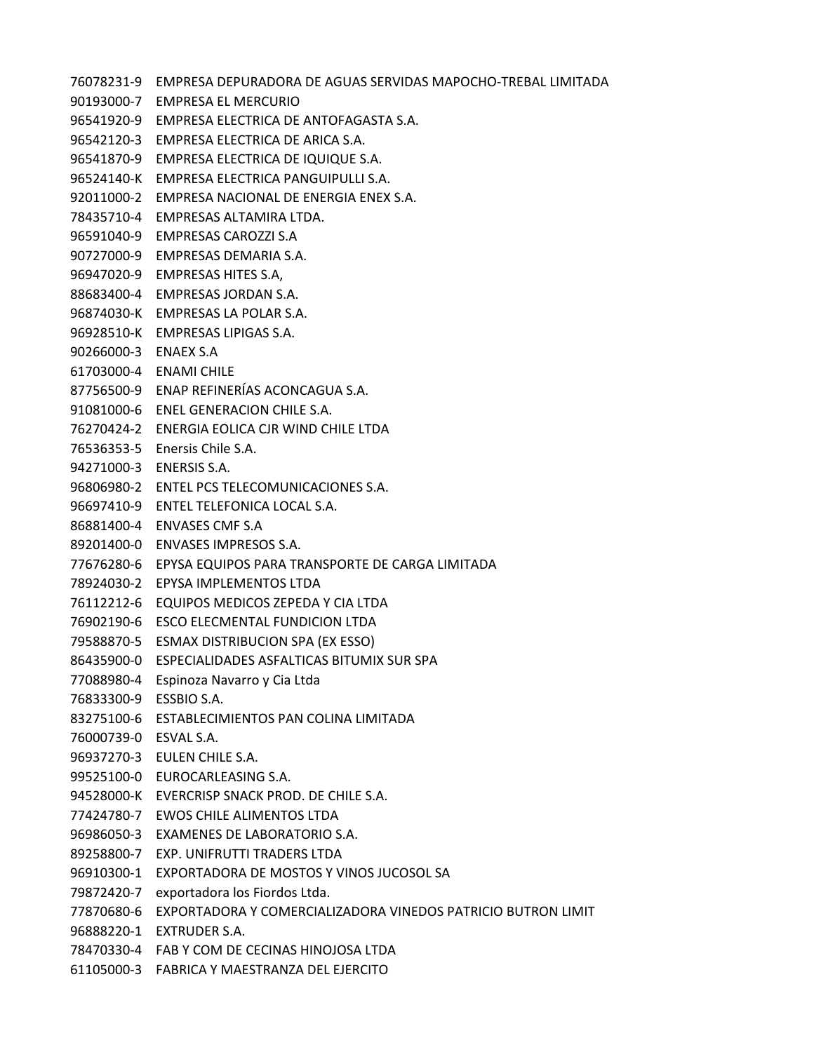76078231-9 EMPRESA DEPURADORA DE AGUAS SERVIDAS MAPOCHO-TREBAL LIMITADA 90193000-7 EMPRESA EL MERCURIO 96541920-9 EMPRESA ELECTRICA DE ANTOFAGASTA S.A. 96542120-3 EMPRESA ELECTRICA DE ARICA S.A. 96541870-9 EMPRESA ELECTRICA DE IQUIQUE S.A. 96524140-K EMPRESA ELECTRICA PANGUIPULLI S.A. 92011000-2 EMPRESA NACIONAL DE ENERGIA ENEX S.A. 78435710-4 EMPRESAS ALTAMIRA LTDA. 96591040-9 EMPRESAS CAROZZI S.A 90727000-9 EMPRESAS DEMARIA S.A. 96947020-9 EMPRESAS HITES S.A, 88683400-4 EMPRESAS JORDAN S.A. 96874030-K EMPRESAS LA POLAR S.A. 96928510-K EMPRESAS LIPIGAS S.A. 90266000-3 ENAEX S.A 61703000-4 ENAMI CHILE 87756500-9 ENAP REFINERÍAS ACONCAGUA S.A. 91081000-6 ENEL GENERACION CHILE S.A. 76270424-2 ENERGIA EOLICA CJR WIND CHILE LTDA 76536353-5 Enersis Chile S.A. 94271000-3 ENERSIS S.A. 96806980-2 ENTEL PCS TELECOMUNICACIONES S.A. 96697410-9 ENTEL TELEFONICA LOCAL S.A. 86881400-4 ENVASES CMF S.A 89201400-0 ENVASES IMPRESOS S.A. 77676280-6 EPYSA EQUIPOS PARA TRANSPORTE DE CARGA LIMITADA 78924030-2 EPYSA IMPLEMENTOS LTDA 76112212-6 EQUIPOS MEDICOS ZEPEDA Y CIA LTDA 76902190-6 ESCO ELECMENTAL FUNDICION LTDA 79588870-5 ESMAX DISTRIBUCION SPA (EX ESSO) 86435900-0 ESPECIALIDADES ASFALTICAS BITUMIX SUR SPA 77088980-4 Espinoza Navarro y Cia Ltda 76833300-9 ESSBIO S.A. 83275100-6 ESTABLECIMIENTOS PAN COLINA LIMITADA 76000739-0 ESVAL S.A. 96937270-3 EULEN CHILE S.A. 99525100-0 EUROCARLEASING S.A. 94528000-K EVERCRISP SNACK PROD. DE CHILE S.A. 77424780-7 EWOS CHILE ALIMENTOS LTDA 96986050-3 EXAMENES DE LABORATORIO S.A. 89258800-7 EXP. UNIFRUTTI TRADERS LTDA 96910300-1 EXPORTADORA DE MOSTOS Y VINOS JUCOSOL SA 79872420-7 exportadora los Fiordos Ltda. 77870680-6 EXPORTADORA Y COMERCIALIZADORA VINEDOS PATRICIO BUTRON LIMIT 96888220-1 EXTRUDER S.A. 78470330-4 FAB Y COM DE CECINAS HINOJOSA LTDA 61105000-3 FABRICA Y MAESTRANZA DEL EJERCITO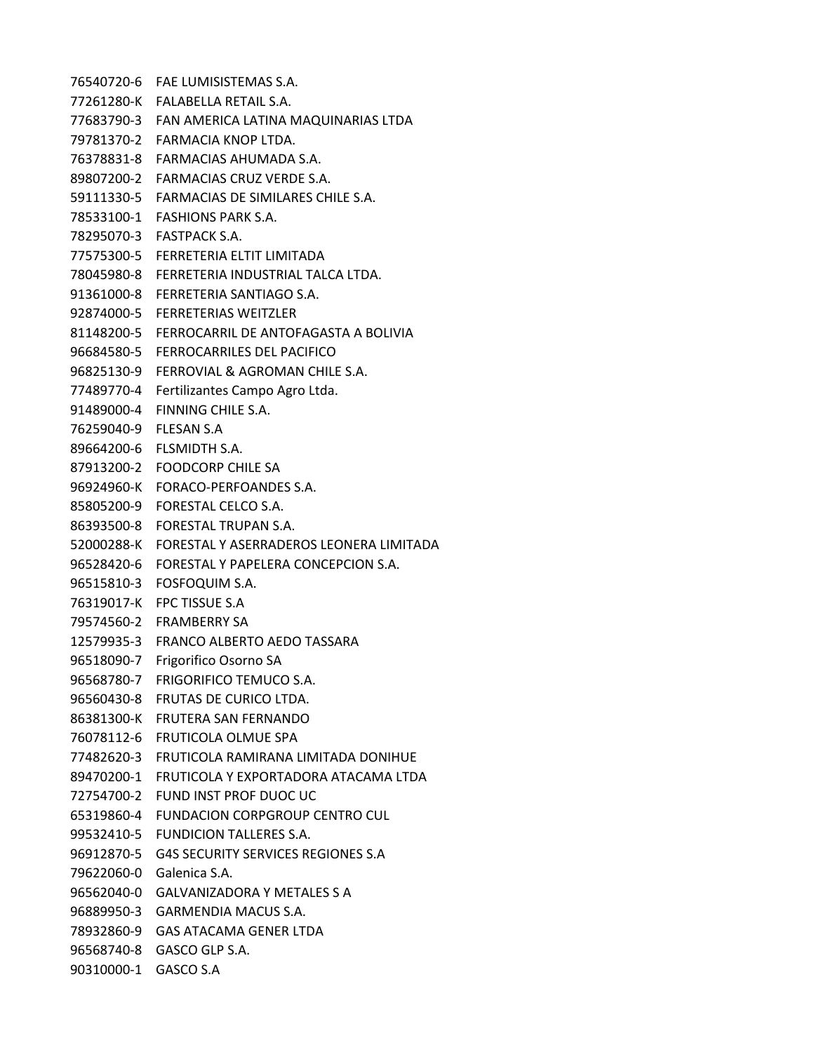76540720-6 FAE LUMISISTEMAS S.A. 77261280-K FALABELLA RETAIL S.A. 77683790-3 FAN AMERICA LATINA MAQUINARIAS LTDA 79781370-2 FARMACIA KNOP LTDA. 76378831-8 FARMACIAS AHUMADA S.A. 89807200-2 FARMACIAS CRUZ VERDE S.A. 59111330-5 FARMACIAS DE SIMILARES CHILE S.A. 78533100-1 FASHIONS PARK S.A. 78295070-3 FASTPACK S.A. 77575300-5 FERRETERIA ELTIT LIMITADA 78045980-8 FERRETERIA INDUSTRIAL TALCA LTDA. 91361000-8 FERRETERIA SANTIAGO S.A. 92874000-5 FERRETERIAS WEITZLER 81148200-5 FERROCARRIL DE ANTOFAGASTA A BOLIVIA 96684580-5 FERROCARRILES DEL PACIFICO 96825130-9 FERROVIAL & AGROMAN CHILE S.A. 77489770-4 Fertilizantes Campo Agro Ltda. 91489000-4 FINNING CHILE S.A. 76259040-9 FLESAN S.A 89664200-6 FLSMIDTH S.A. 87913200-2 FOODCORP CHILE SA 96924960-K FORACO-PERFOANDES S.A. 85805200-9 FORESTAL CELCO S.A. 86393500-8 FORESTAL TRUPAN S.A. 52000288-K FORESTAL Y ASERRADEROS LEONERA LIMITADA 96528420-6 FORESTAL Y PAPELERA CONCEPCION S.A. 96515810-3 FOSFOQUIM S.A. 76319017-K FPC TISSUE S.A 79574560-2 FRAMBERRY SA 12579935-3 FRANCO ALBERTO AEDO TASSARA 96518090-7 Frigorifico Osorno SA 96568780-7 FRIGORIFICO TEMUCO S.A. 96560430-8 FRUTAS DE CURICO LTDA. 86381300-K FRUTERA SAN FERNANDO 76078112-6 FRUTICOLA OLMUE SPA 77482620-3 FRUTICOLA RAMIRANA LIMITADA DONIHUE 89470200-1 FRUTICOLA Y EXPORTADORA ATACAMA LTDA 72754700-2 FUND INST PROF DUOC UC 65319860-4 FUNDACION CORPGROUP CENTRO CUL 99532410-5 FUNDICION TALLERES S.A. 96912870-5 G4S SECURITY SERVICES REGIONES S.A 79622060-0 Galenica S.A. 96562040-0 GALVANIZADORA Y METALES S A 96889950-3 GARMENDIA MACUS S.A. 78932860-9 GAS ATACAMA GENER LTDA 96568740-8 GASCO GLP S.A. 90310000-1 GASCO S.A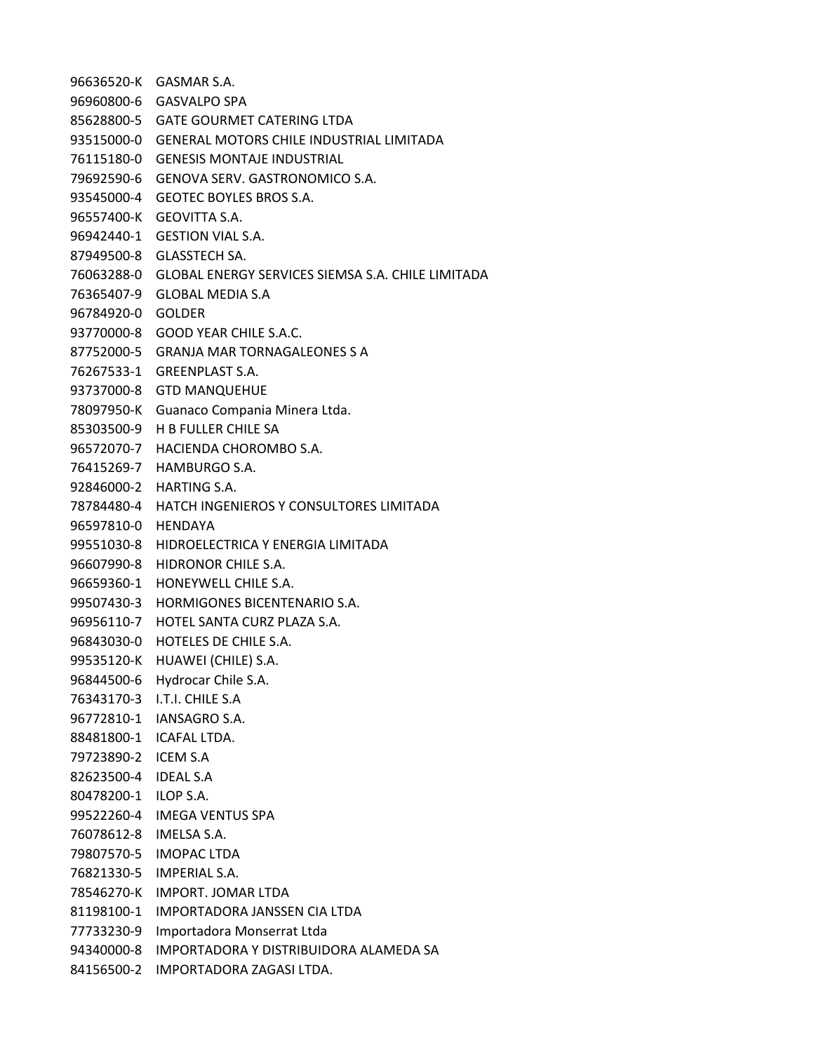| 96636520-K           | GASMAR S.A.                                              |
|----------------------|----------------------------------------------------------|
| 96960800-6           | GASVALPO SPA                                             |
|                      | 85628800-5 GATE GOURMET CATERING LTDA                    |
| 93515000-0           | <b>GENERAL MOTORS CHILE INDUSTRIAL LIMITADA</b>          |
| 76115180-0           | <b>GENESIS MONTAIE INDUSTRIAL</b>                        |
| 79692590-6           | <b>GENOVA SERV. GASTRONOMICO S.A.</b>                    |
| 93545000-4           | <b>GEOTEC BOYLES BROS S.A.</b>                           |
| 96557400-K           | <b>GEOVITTA S.A.</b>                                     |
| 96942440-1           | <b>GESTION VIAL S.A.</b>                                 |
| 87949500-8           | <b>GLASSTECH SA.</b>                                     |
| 76063288-0           | <b>GLOBAL ENERGY SERVICES SIEMSA S.A. CHILE LIMITADA</b> |
| 76365407-9           | <b>GLOBAL MEDIA S.A</b>                                  |
| 96784920-0           | <b>GOLDER</b>                                            |
| 93770000-8           | <b>GOOD YEAR CHILE S.A.C.</b>                            |
| 87752000-5           | <b>GRANJA MAR TORNAGALEONES S A</b>                      |
| 76267533-1           | <b>GREENPLAST S.A.</b>                                   |
| 93737000-8           | <b>GTD MANQUEHUE</b>                                     |
| 78097950-K           | Guanaco Compania Minera Ltda.                            |
| 85303500-9           | <b>H B FULLER CHILE SA</b>                               |
| 96572070-7           | HACIENDA CHOROMBO S.A.                                   |
|                      | 76415269-7 HAMBURGO S.A.                                 |
|                      | 92846000-2 HARTING S.A.                                  |
|                      | 78784480-4 HATCH INGENIEROS Y CONSULTORES LIMITADA       |
| 96597810-0 HENDAYA   |                                                          |
|                      | 99551030-8 HIDROELECTRICA Y ENERGIA LIMITADA             |
| 96607990-8           | HIDRONOR CHILE S.A.                                      |
| 96659360-1           | HONEYWELL CHILE S.A.                                     |
| 99507430-3           | HORMIGONES BICENTENARIO S.A.                             |
| 96956110-7           | HOTEL SANTA CURZ PLAZA S.A.                              |
| 96843030-0           | HOTELES DE CHILE S.A.                                    |
| 99535120-K           | HUAWEI (CHILE) S.A.                                      |
| 96844500-6           | Hydrocar Chile S.A.                                      |
| 76343170-3           | I.T.I. CHILE S.A                                         |
| 96772810-1           | IANSAGRO S.A.                                            |
| 88481800-1           | ICAFAL LTDA.                                             |
| 79723890-2           | ICEM S.A                                                 |
| 82623500-4 IDEAL S.A |                                                          |
| 80478200-1 ILOP S.A. |                                                          |
|                      | 99522260-4 IMEGA VENTUS SPA                              |
| 76078612-8           | IMELSA S.A.                                              |
| 79807570-5           | <b>IMOPAC LTDA</b>                                       |
|                      | 76821330-5 IMPERIAL S.A.                                 |
| 78546270-K           | IMPORT. JOMAR LTDA                                       |
| 81198100-1           | IMPORTADORA JANSSEN CIA LTDA                             |
| 77733230-9           | Importadora Monserrat Ltda                               |
| 94340000-8           | IMPORTADORA Y DISTRIBUIDORA ALAMEDA SA                   |
| 84156500-2           | IMPORTADORA ZAGASI LTDA.                                 |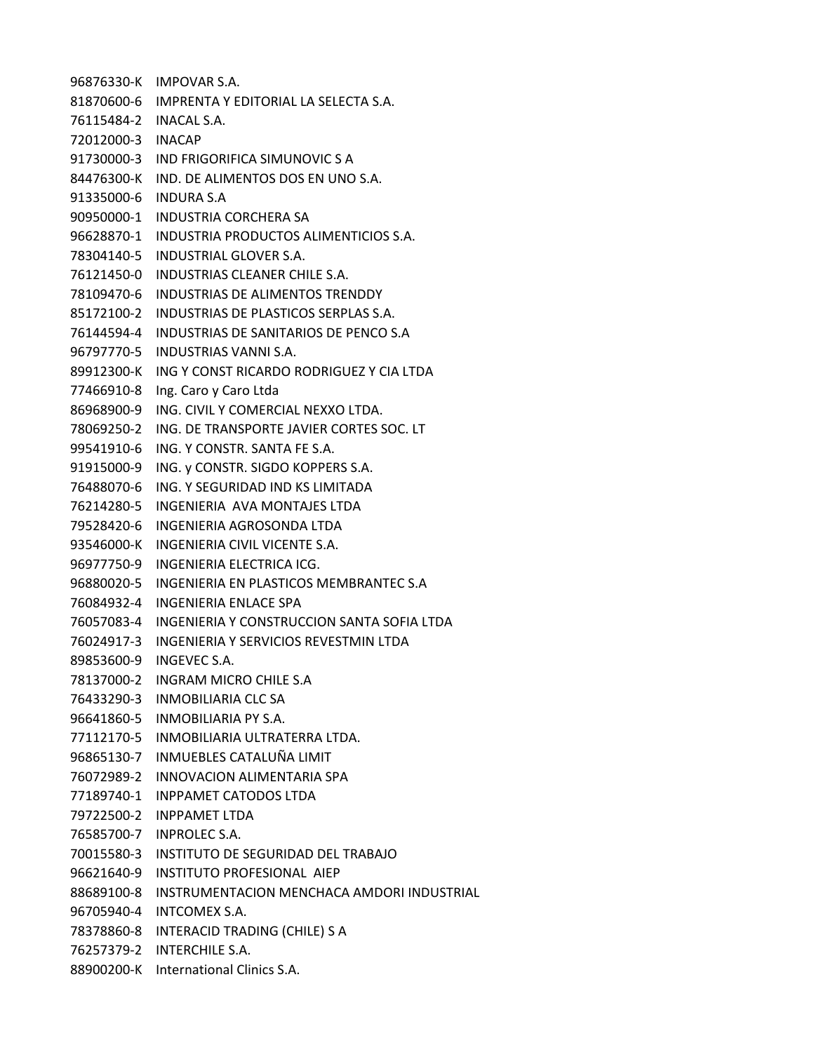96876330-K IMPOVAR S.A. 81870600-6 IMPRENTA Y EDITORIAL LA SELECTA S.A. 76115484-2 INACAL S.A. 72012000-3 INACAP 91730000-3 IND FRIGORIFICA SIMUNOVIC S A 84476300-K IND. DE ALIMENTOS DOS EN UNO S.A. 91335000-6 INDURA S.A 90950000-1 INDUSTRIA CORCHERA SA 96628870-1 INDUSTRIA PRODUCTOS ALIMENTICIOS S.A. 78304140-5 INDUSTRIAL GLOVER S.A. 76121450-0 INDUSTRIAS CLEANER CHILE S.A. 78109470-6 INDUSTRIAS DE ALIMENTOS TRENDDY 85172100-2 INDUSTRIAS DE PLASTICOS SERPLAS S.A. 76144594-4 INDUSTRIAS DE SANITARIOS DE PENCO S.A 96797770-5 INDUSTRIAS VANNI S.A. 89912300-K ING Y CONST RICARDO RODRIGUEZ Y CIA LTDA 77466910-8 Ing. Caro y Caro Ltda 86968900-9 ING. CIVIL Y COMERCIAL NEXXO LTDA. 78069250-2 ING. DE TRANSPORTE JAVIER CORTES SOC. LT 99541910-6 ING. Y CONSTR. SANTA FE S.A. 91915000-9 ING. y CONSTR. SIGDO KOPPERS S.A. 76488070-6 ING. Y SEGURIDAD IND KS LIMITADA 76214280-5 INGENIERIA AVA MONTAJES LTDA 79528420-6 INGENIERIA AGROSONDA LTDA 93546000-K INGENIERIA CIVIL VICENTE S.A. 96977750-9 INGENIERIA ELECTRICA ICG. 96880020-5 INGENIERIA EN PLASTICOS MEMBRANTEC S.A 76084932-4 INGENIERIA ENLACE SPA 76057083-4 INGENIERIA Y CONSTRUCCION SANTA SOFIA LTDA 76024917-3 INGENIERIA Y SERVICIOS REVESTMIN LTDA 89853600-9 INGEVEC S.A. 78137000-2 INGRAM MICRO CHILE S.A 76433290-3 INMOBILIARIA CLC SA 96641860-5 INMOBILIARIA PY S.A. 77112170-5 INMOBILIARIA ULTRATERRA LTDA. 96865130-7 INMUEBLES CATALUÑA LIMIT 76072989-2 INNOVACION ALIMENTARIA SPA 77189740-1 INPPAMET CATODOS LTDA 79722500-2 INPPAMET LTDA 76585700-7 INPROLEC S.A. 70015580-3 INSTITUTO DE SEGURIDAD DEL TRABAJO 96621640-9 INSTITUTO PROFESIONAL AIEP 88689100-8 INSTRUMENTACION MENCHACA AMDORI INDUSTRIAL 96705940-4 INTCOMEX S.A. 78378860-8 INTERACID TRADING (CHILE) S A 76257379-2 INTERCHILE S.A. 88900200-K International Clinics S.A.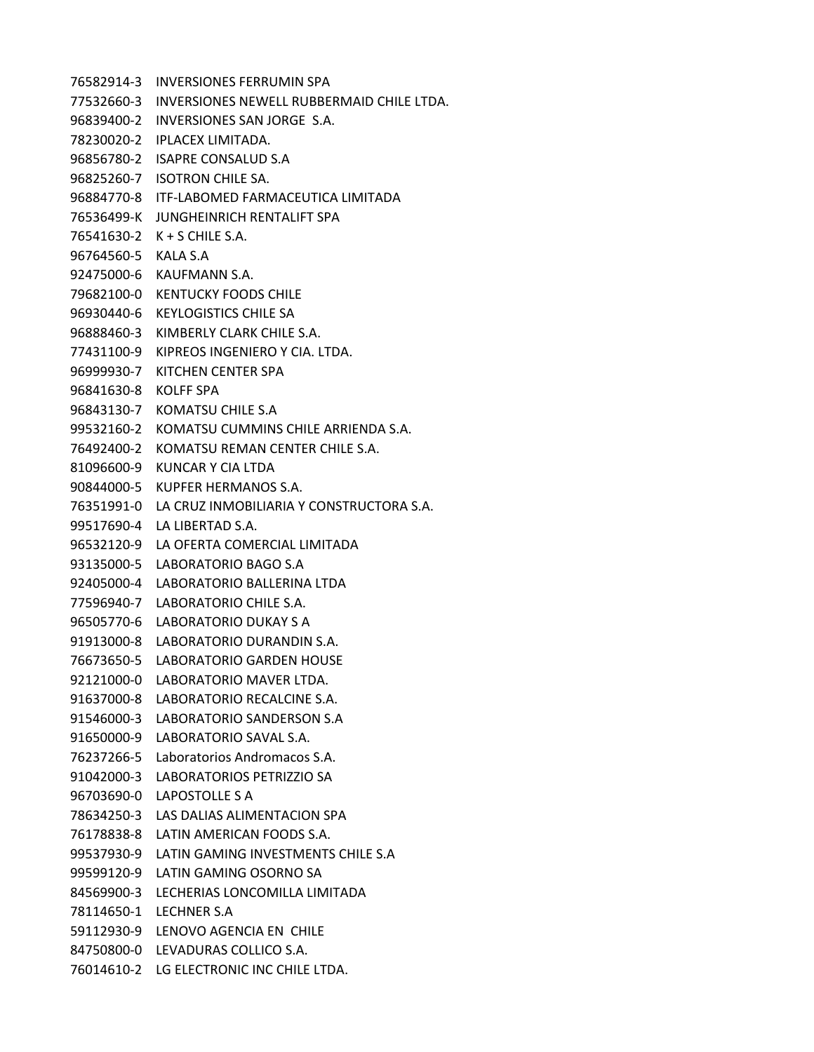76582914-3 INVERSIONES FERRUMIN SPA 77532660-3 INVERSIONES NEWELL RUBBERMAID CHILE LTDA. 96839400-2 INVERSIONES SAN JORGE S.A. 78230020-2 IPLACEX LIMITADA. 96856780-2 ISAPRE CONSALUD S.A 96825260-7 ISOTRON CHILE SA. 96884770-8 ITF-LABOMED FARMACEUTICA LIMITADA 76536499-K JUNGHEINRICH RENTALIFT SPA 76541630-2 K + S CHILE S.A. 96764560-5 KALA S.A 92475000-6 KAUFMANN S.A. 79682100-0 KENTUCKY FOODS CHILE 96930440-6 KEYLOGISTICS CHILE SA 96888460-3 KIMBERLY CLARK CHILE S.A. 77431100-9 KIPREOS INGENIERO Y CIA. LTDA. 96999930-7 KITCHEN CENTER SPA 96841630-8 KOLFF SPA 96843130-7 KOMATSU CHILE S.A 99532160-2 KOMATSU CUMMINS CHILE ARRIENDA S.A. 76492400-2 KOMATSU REMAN CENTER CHILE S.A. 81096600-9 KUNCAR Y CIA LTDA 90844000-5 KUPFER HERMANOS S.A. 76351991-0 LA CRUZ INMOBILIARIA Y CONSTRUCTORA S.A. 99517690-4 LA LIBERTAD S.A. 96532120-9 LA OFERTA COMERCIAL LIMITADA 93135000-5 LABORATORIO BAGO S.A 92405000-4 LABORATORIO BALLERINA LTDA 77596940-7 LABORATORIO CHILE S.A. 96505770-6 LABORATORIO DUKAY S A 91913000-8 LABORATORIO DURANDIN S.A. 76673650-5 LABORATORIO GARDEN HOUSE 92121000-0 LABORATORIO MAVER LTDA. 91637000-8 LABORATORIO RECALCINE S.A. 91546000-3 LABORATORIO SANDERSON S.A 91650000-9 LABORATORIO SAVAL S.A. 76237266-5 Laboratorios Andromacos S.A. 91042000-3 LABORATORIOS PETRIZZIO SA 96703690-0 LAPOSTOLLE S A 78634250-3 LAS DALIAS ALIMENTACION SPA 76178838-8 LATIN AMERICAN FOODS S.A. 99537930-9 LATIN GAMING INVESTMENTS CHILE S.A 99599120-9 LATIN GAMING OSORNO SA 84569900-3 LECHERIAS LONCOMILLA LIMITADA 78114650-1 LECHNER S.A 59112930-9 LENOVO AGENCIA EN CHILE 84750800-0 LEVADURAS COLLICO S.A. 76014610-2 LG ELECTRONIC INC CHILE LTDA.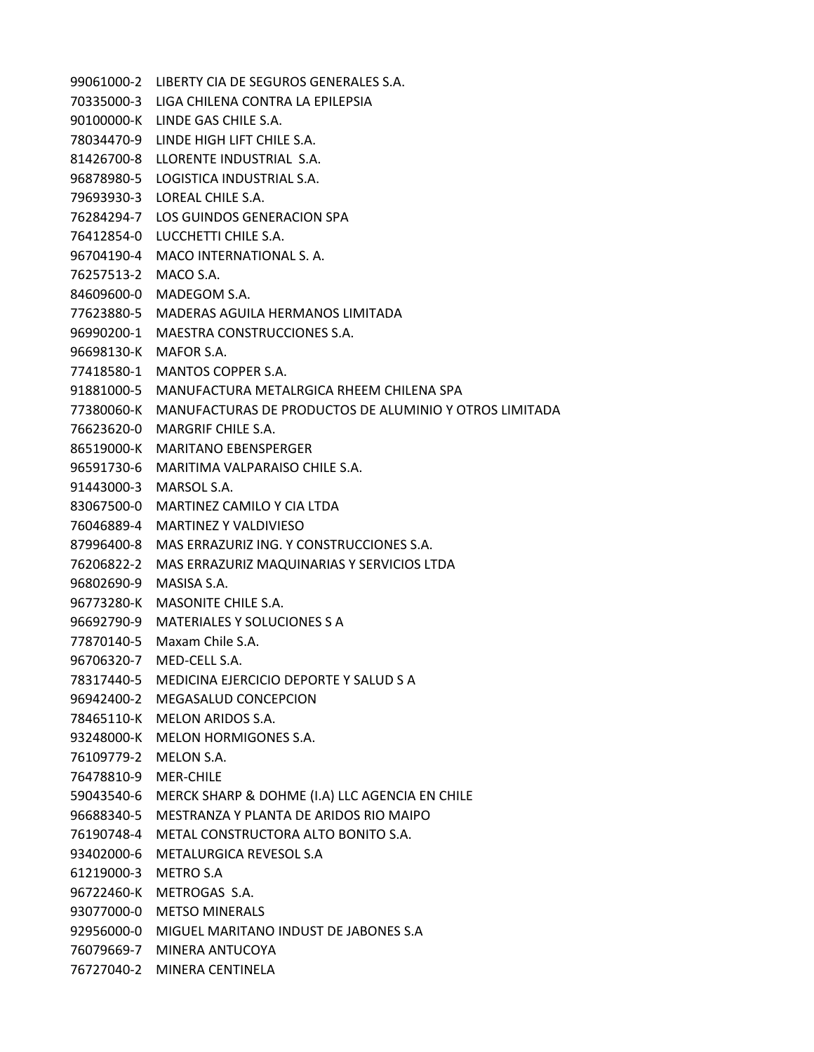99061000-2 LIBERTY CIA DE SEGUROS GENERALES S.A. 70335000-3 LIGA CHILENA CONTRA LA EPILEPSIA 90100000-K LINDE GAS CHILE S.A. 78034470-9 LINDE HIGH LIFT CHILE S.A. 81426700-8 LLORENTE INDUSTRIAL S.A. 96878980-5 LOGISTICA INDUSTRIAL S.A. 79693930-3 LOREAL CHILE S.A. 76284294-7 LOS GUINDOS GENERACION SPA 76412854-0 LUCCHETTI CHILE S.A. 96704190-4 MACO INTERNATIONAL S. A. 76257513-2 MACO S.A. 84609600-0 MADEGOM S.A. 77623880-5 MADERAS AGUILA HERMANOS LIMITADA 96990200-1 MAESTRA CONSTRUCCIONES S.A. 96698130-K MAFOR S.A. 77418580-1 MANTOS COPPER S.A. 91881000-5 MANUFACTURA METALRGICA RHEEM CHILENA SPA 77380060-K MANUFACTURAS DE PRODUCTOS DE ALUMINIO Y OTROS LIMITADA 76623620-0 MARGRIF CHILE S.A. 86519000-K MARITANO EBENSPERGER 96591730-6 MARITIMA VALPARAISO CHILE S.A. 91443000-3 MARSOL S.A. 83067500-0 MARTINEZ CAMILO Y CIA LTDA 76046889-4 MARTINEZ Y VALDIVIESO 87996400-8 MAS ERRAZURIZ ING. Y CONSTRUCCIONES S.A. 76206822-2 MAS ERRAZURIZ MAQUINARIAS Y SERVICIOS LTDA 96802690-9 MASISA S.A. 96773280-K MASONITE CHILE S.A. 96692790-9 MATERIALES Y SOLUCIONES S A 77870140-5 Maxam Chile S.A. 96706320-7 MED-CELL S.A. 78317440-5 MEDICINA EJERCICIO DEPORTE Y SALUD S A 96942400-2 MEGASALUD CONCEPCION 78465110-K MELON ARIDOS S.A. 93248000-K MELON HORMIGONES S.A. 76109779-2 MELON S.A. 76478810-9 MER-CHILE 59043540-6 MERCK SHARP & DOHME (I.A) LLC AGENCIA EN CHILE 96688340-5 MESTRANZA Y PLANTA DE ARIDOS RIO MAIPO 76190748-4 METAL CONSTRUCTORA ALTO BONITO S.A. 93402000-6 METALURGICA REVESOL S.A 61219000-3 METRO S.A 96722460-K METROGAS S.A. 93077000-0 METSO MINERALS 92956000-0 MIGUEL MARITANO INDUST DE JABONES S.A 76079669-7 MINERA ANTUCOYA 76727040-2 MINERA CENTINELA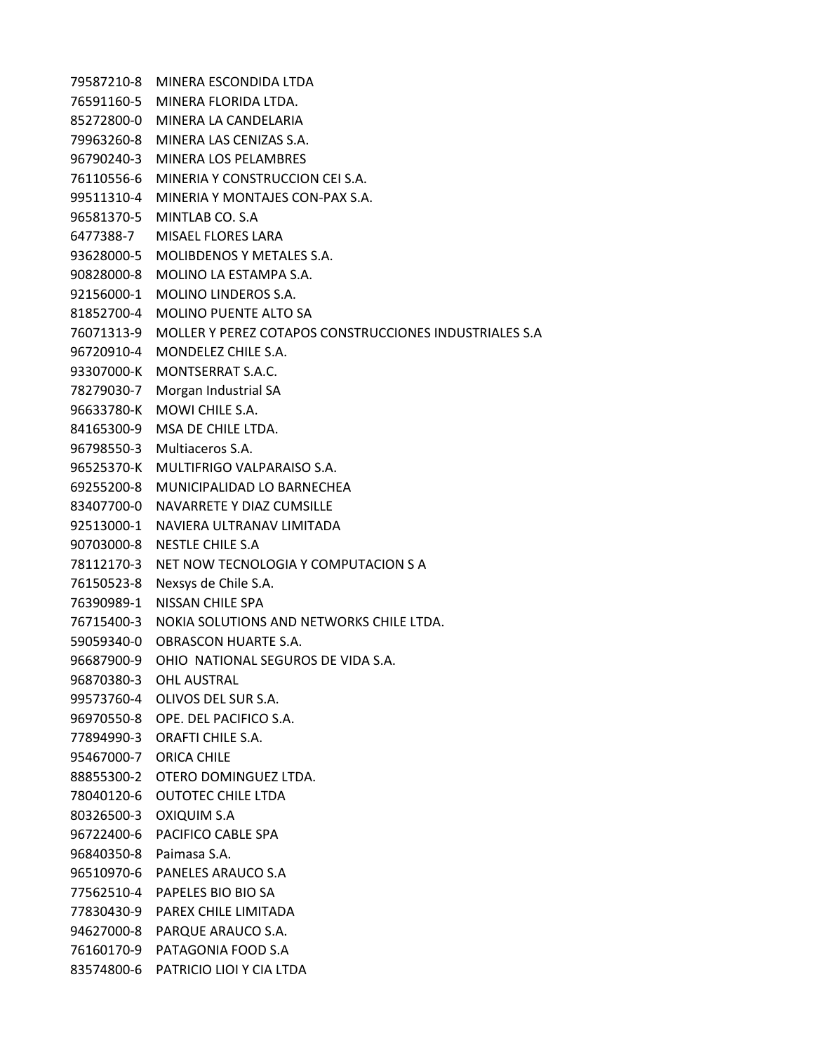79587210-8 MINERA ESCONDIDA LTDA 76591160-5 MINERA FLORIDA LTDA. 85272800-0 MINERA LA CANDELARIA 79963260-8 MINERA LAS CENIZAS S.A. 96790240-3 MINERA LOS PELAMBRES 76110556-6 MINERIA Y CONSTRUCCION CEI S.A. 99511310-4 MINERIA Y MONTAJES CON-PAX S.A. 96581370-5 MINTLAB CO. S.A 6477388-7 MISAEL FLORES LARA 93628000-5 MOLIBDENOS Y METALES S.A. 90828000-8 MOLINO LA ESTAMPA S.A. 92156000-1 MOLINO LINDEROS S.A. 81852700-4 MOLINO PUENTE ALTO SA 76071313-9 MOLLER Y PEREZ COTAPOS CONSTRUCCIONES INDUSTRIALES S.A 96720910-4 MONDELEZ CHILE S.A. 93307000-K MONTSERRAT S.A.C. 78279030-7 Morgan Industrial SA 96633780-K MOWI CHILE S.A. 84165300-9 MSA DE CHILE LTDA. 96798550-3 Multiaceros S.A. 96525370-K MULTIFRIGO VALPARAISO S.A. 69255200-8 MUNICIPALIDAD LO BARNECHEA 83407700-0 NAVARRETE Y DIAZ CUMSILLE 92513000-1 NAVIERA ULTRANAV LIMITADA 90703000-8 NESTLE CHILE S.A 78112170-3 NET NOW TECNOLOGIA Y COMPUTACION S A 76150523-8 Nexsys de Chile S.A. 76390989-1 NISSAN CHILE SPA 76715400-3 NOKIA SOLUTIONS AND NETWORKS CHILE LTDA. 59059340-0 OBRASCON HUARTE S.A. 96687900-9 OHIO NATIONAL SEGUROS DE VIDA S.A. 96870380-3 OHL AUSTRAL 99573760-4 OLIVOS DEL SUR S.A. 96970550-8 OPE. DEL PACIFICO S.A. 77894990-3 ORAFTI CHILE S.A. 95467000-7 ORICA CHILE 88855300-2 OTERO DOMINGUEZ LTDA. 78040120-6 OUTOTEC CHILE LTDA 80326500-3 OXIQUIM S.A 96722400-6 PACIFICO CABLE SPA 96840350-8 Paimasa S.A. 96510970-6 PANELES ARAUCO S.A 77562510-4 PAPELES BIO BIO SA 77830430-9 PAREX CHILE LIMITADA 94627000-8 PARQUE ARAUCO S.A. 76160170-9 PATAGONIA FOOD S.A 83574800-6 PATRICIO LIOI Y CIA LTDA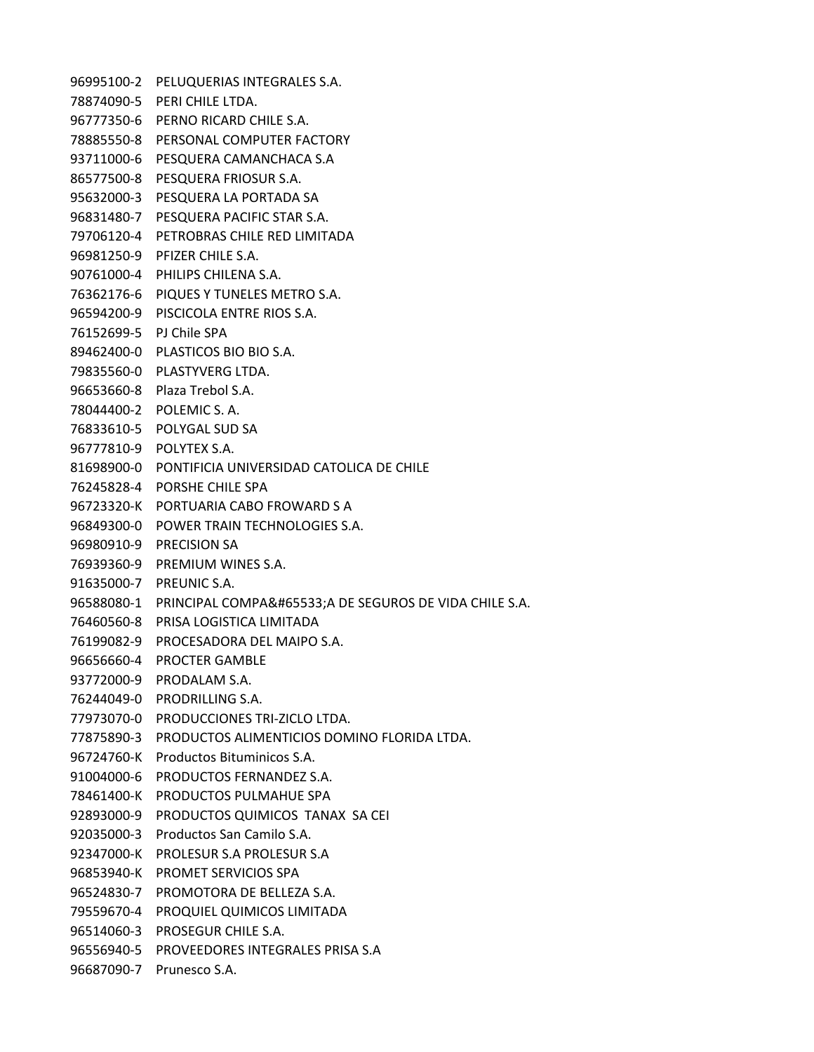96995100-2 PELUQUERIAS INTEGRALES S.A. 78874090-5 PERI CHILE LTDA. 96777350-6 PERNO RICARD CHILE S.A. 78885550-8 PERSONAL COMPUTER FACTORY 93711000-6 PESQUERA CAMANCHACA S.A 86577500-8 PESQUERA FRIOSUR S.A. 95632000-3 PESQUERA LA PORTADA SA 96831480-7 PESQUERA PACIFIC STAR S.A. 79706120-4 PETROBRAS CHILE RED LIMITADA 96981250-9 PFIZER CHILE S.A. 90761000-4 PHILIPS CHILENA S.A. 76362176-6 PIQUES Y TUNELES METRO S.A. 96594200-9 PISCICOLA ENTRE RIOS S.A. 76152699-5 PJ Chile SPA 89462400-0 PLASTICOS BIO BIO S.A. 79835560-0 PLASTYVERG LTDA. 96653660-8 Plaza Trebol S.A. 78044400-2 POLEMIC S. A. 76833610-5 POLYGAL SUD SA 96777810-9 POLYTEX S.A. 81698900-0 PONTIFICIA UNIVERSIDAD CATOLICA DE CHILE 76245828-4 PORSHE CHILE SPA 96723320-K PORTUARIA CABO FROWARD S A 96849300-0 POWER TRAIN TECHNOLOGIES S.A. 96980910-9 PRECISION SA 76939360-9 PREMIUM WINES S.A. 91635000-7 PREUNIC S.A. 96588080-1 PRINCIPAL COMPA&#65533:A DE SEGUROS DE VIDA CHILE S.A. 76460560-8 PRISA LOGISTICA LIMITADA 76199082-9 PROCESADORA DEL MAIPO S.A. 96656660-4 PROCTER GAMBLE 93772000-9 PRODALAM S.A. 76244049-0 PRODRILLING S.A. 77973070-0 PRODUCCIONES TRI-ZICLO LTDA. 77875890-3 PRODUCTOS ALIMENTICIOS DOMINO FLORIDA LTDA. 96724760-K Productos Bituminicos S.A. 91004000-6 PRODUCTOS FERNANDEZ S.A. 78461400-K PRODUCTOS PULMAHUE SPA 92893000-9 PRODUCTOS QUIMICOS TANAX SA CEI 92035000-3 Productos San Camilo S.A. 92347000-K PROLESUR S.A PROLESUR S.A 96853940-K PROMET SERVICIOS SPA 96524830-7 PROMOTORA DE BELLEZA S.A. 79559670-4 PROQUIEL QUIMICOS LIMITADA 96514060-3 PROSEGUR CHILE S.A. 96556940-5 PROVEEDORES INTEGRALES PRISA S.A 96687090-7 Prunesco S.A.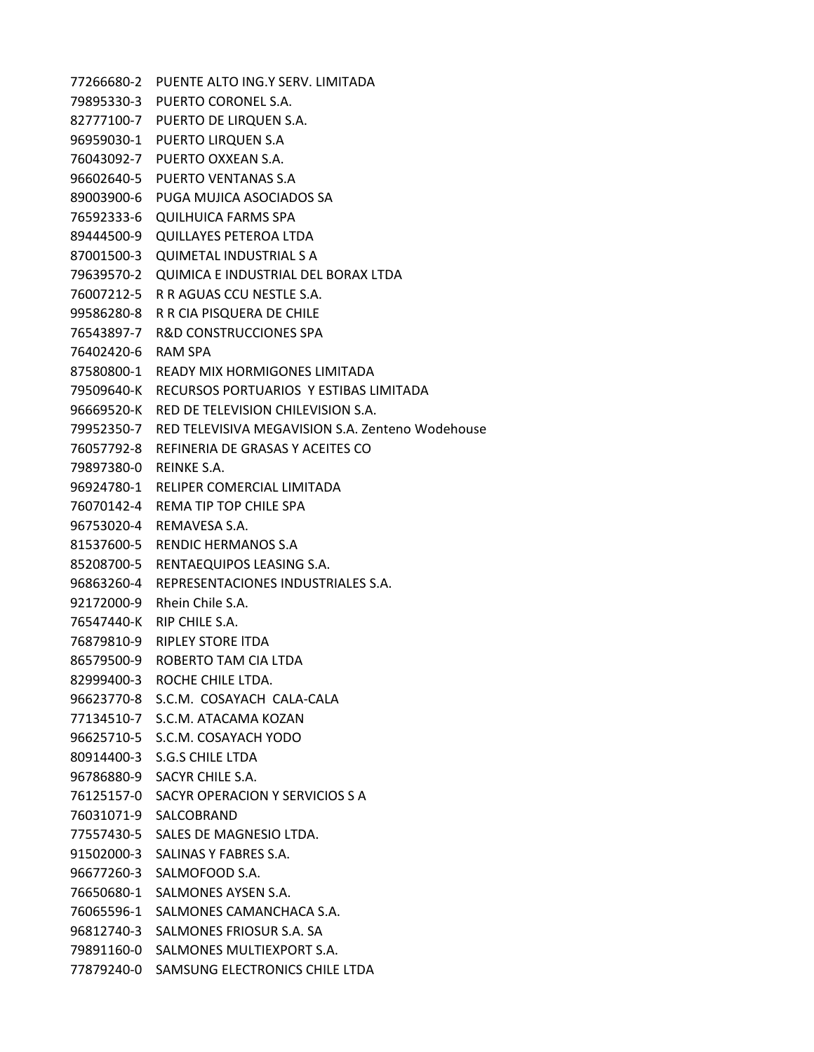77266680-2 PUENTE ALTO ING.Y SERV. LIMITADA 79895330-3 PUERTO CORONEL S.A. 82777100-7 PUERTO DE LIRQUEN S.A. 96959030-1 PUERTO LIRQUEN S.A 76043092-7 PUERTO OXXEAN S.A. 96602640-5 PUERTO VENTANAS S.A 89003900-6 PUGA MUJICA ASOCIADOS SA 76592333-6 QUILHUICA FARMS SPA 89444500-9 QUILLAYES PETEROA LTDA 87001500-3 QUIMETAL INDUSTRIAL S A 79639570-2 QUIMICA E INDUSTRIAL DEL BORAX LTDA 76007212-5 R R AGUAS CCU NESTLE S.A. 99586280-8 R R CIA PISQUERA DE CHILE 76543897-7 R&D CONSTRUCCIONES SPA 76402420-6 RAM SPA 87580800-1 READY MIX HORMIGONES LIMITADA 79509640-K RECURSOS PORTUARIOS Y ESTIBAS LIMITADA 96669520-K RED DE TELEVISION CHILEVISION S.A. 79952350-7 RED TELEVISIVA MEGAVISION S.A. Zenteno Wodehouse 76057792-8 REFINERIA DE GRASAS Y ACEITES CO 79897380-0 REINKE S.A. 96924780-1 RELIPER COMERCIAL LIMITADA 76070142-4 REMA TIP TOP CHILE SPA 96753020-4 REMAVESA S.A. 81537600-5 RENDIC HERMANOS S.A 85208700-5 RENTAEQUIPOS LEASING S.A. 96863260-4 REPRESENTACIONES INDUSTRIALES S.A. 92172000-9 Rhein Chile S.A. 76547440-K RIP CHILE S.A. 76879810-9 RIPLEY STORE lTDA 86579500-9 ROBERTO TAM CIA LTDA 82999400-3 ROCHE CHILE LTDA. 96623770-8 S.C.M. COSAYACH CALA-CALA 77134510-7 S.C.M. ATACAMA KOZAN 96625710-5 S.C.M. COSAYACH YODO 80914400-3 S.G.S CHILE LTDA 96786880-9 SACYR CHILE S.A. 76125157-0 SACYR OPERACION Y SERVICIOS S A 76031071-9 SALCOBRAND 77557430-5 SALES DE MAGNESIO LTDA. 91502000-3 SALINAS Y FABRES S.A. 96677260-3 SALMOFOOD S.A. 76650680-1 SALMONES AYSEN S.A. 76065596-1 SALMONES CAMANCHACA S.A. 96812740-3 SALMONES FRIOSUR S.A. SA 79891160-0 SALMONES MULTIEXPORT S.A. 77879240-0 SAMSUNG ELECTRONICS CHILE LTDA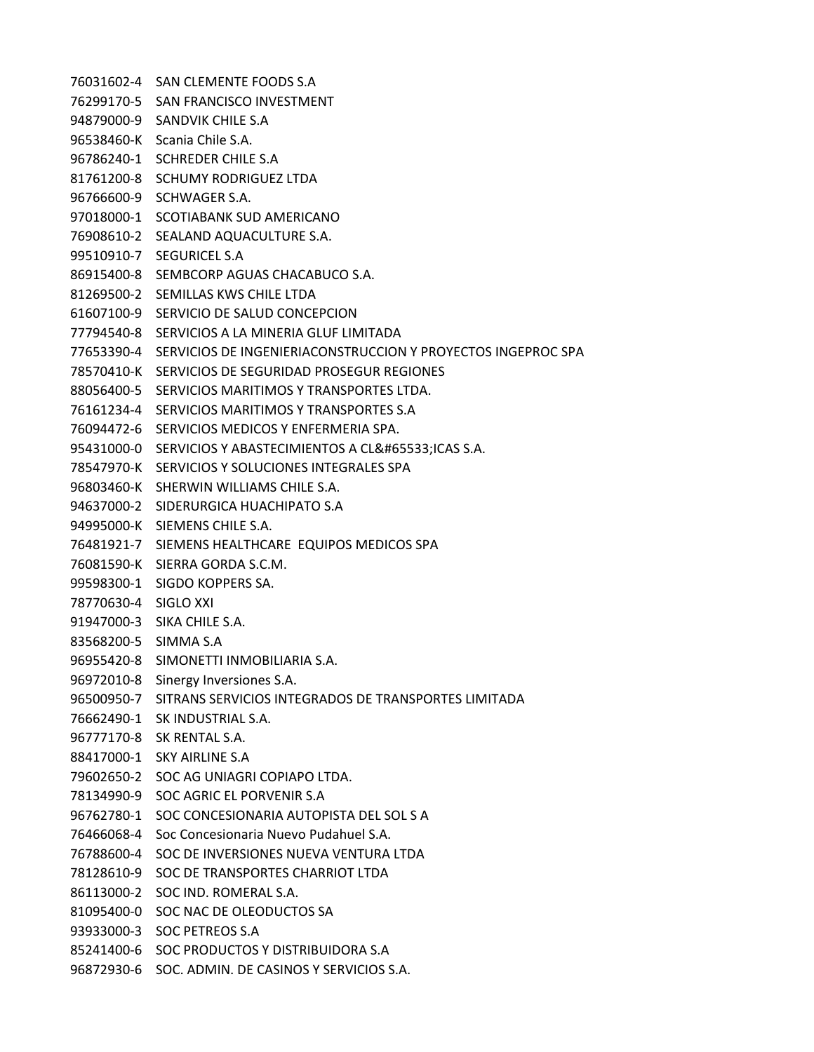76031602-4 SAN CLEMENTE FOODS S.A 76299170-5 SAN FRANCISCO INVESTMENT 94879000-9 SANDVIK CHILE S.A 96538460-K Scania Chile S.A. 96786240-1 SCHREDER CHILE S.A 81761200-8 SCHUMY RODRIGUEZ LTDA 96766600-9 SCHWAGER S.A. 97018000-1 SCOTIABANK SUD AMERICANO 76908610-2 SEALAND AQUACULTURE S.A. 99510910-7 SEGURICEL S.A 86915400-8 SEMBCORP AGUAS CHACABUCO S.A. 81269500-2 SEMILLAS KWS CHILE LTDA 61607100-9 SERVICIO DE SALUD CONCEPCION 77794540-8 SERVICIOS A LA MINERIA GLUF LIMITADA 77653390-4 SERVICIOS DE INGENIERIACONSTRUCCION Y PROYECTOS INGEPROC SPA 78570410-K SERVICIOS DE SEGURIDAD PROSEGUR REGIONES 88056400-5 SERVICIOS MARITIMOS Y TRANSPORTES LTDA. 76161234-4 SERVICIOS MARITIMOS Y TRANSPORTES S.A 76094472-6 SERVICIOS MEDICOS Y ENFERMERIA SPA. 95431000-0 SERVICIOS Y ABASTECIMIENTOS A CL&#65533:ICAS S.A. 78547970-K SERVICIOS Y SOLUCIONES INTEGRALES SPA 96803460-K SHERWIN WILLIAMS CHILE S.A. 94637000-2 SIDERURGICA HUACHIPATO S.A 94995000-K SIEMENS CHILE S.A. 76481921-7 SIEMENS HEALTHCARE EQUIPOS MEDICOS SPA 76081590-K SIERRA GORDA S.C.M. 99598300-1 SIGDO KOPPERS SA. 78770630-4 SIGLO XXI 91947000-3 SIKA CHILE S.A. 83568200-5 SIMMA S.A 96955420-8 SIMONETTI INMOBILIARIA S.A. 96972010-8 Sinergy Inversiones S.A. 96500950-7 SITRANS SERVICIOS INTEGRADOS DE TRANSPORTES LIMITADA 76662490-1 SK INDUSTRIAL S.A. 96777170-8 SK RENTAL S.A. 88417000-1 SKY AIRLINE S.A 79602650-2 SOC AG UNIAGRI COPIAPO LTDA. 78134990-9 SOC AGRIC EL PORVENIR S.A 96762780-1 SOC CONCESIONARIA AUTOPISTA DEL SOL S A 76466068-4 Soc Concesionaria Nuevo Pudahuel S.A. 76788600-4 SOC DE INVERSIONES NUEVA VENTURA LTDA 78128610-9 SOC DE TRANSPORTES CHARRIOT LTDA 86113000-2 SOC IND. ROMERAL S.A. 81095400-0 SOC NAC DE OLEODUCTOS SA 93933000-3 SOC PETREOS S.A 85241400-6 SOC PRODUCTOS Y DISTRIBUIDORA S.A 96872930-6 SOC. ADMIN. DE CASINOS Y SERVICIOS S.A.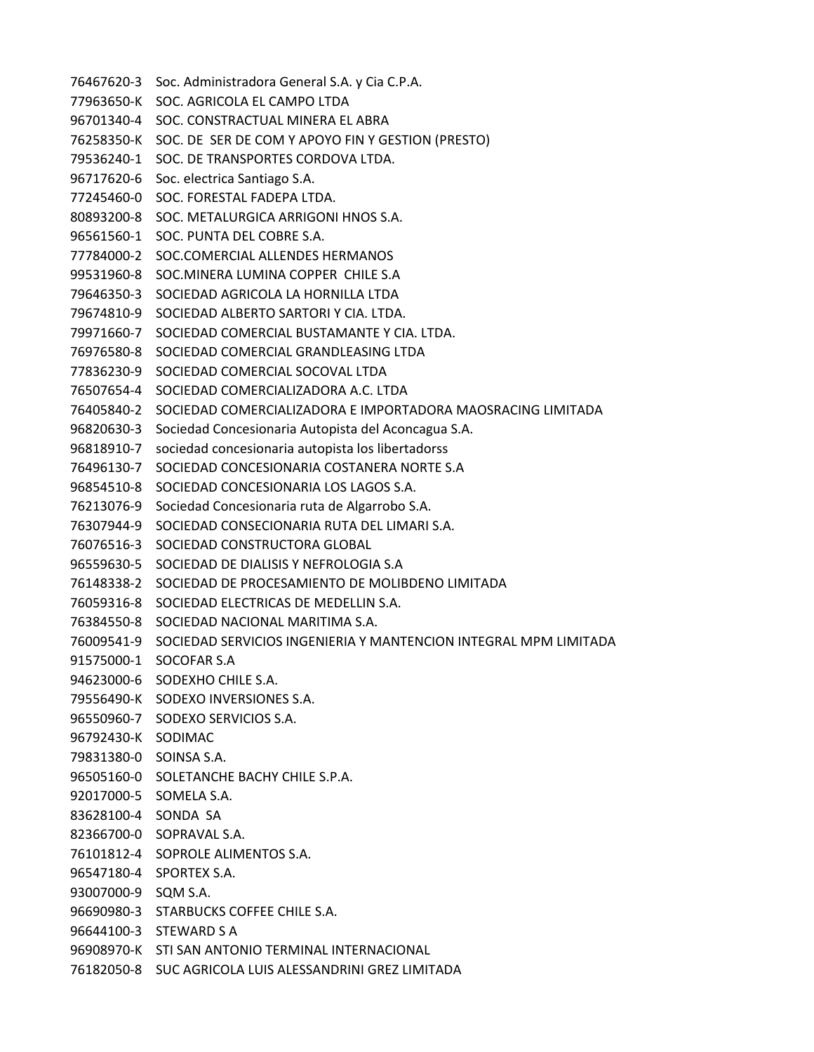76467620-3 Soc. Administradora General S.A. y Cia C.P.A. 77963650-K SOC. AGRICOLA EL CAMPO LTDA 96701340-4 SOC. CONSTRACTUAL MINERA EL ABRA 76258350-K SOC. DE SER DE COM Y APOYO FIN Y GESTION (PRESTO) 79536240-1 SOC. DE TRANSPORTES CORDOVA LTDA. 96717620-6 Soc. electrica Santiago S.A. 77245460-0 SOC. FORESTAL FADEPA LTDA. 80893200-8 SOC. METALURGICA ARRIGONI HNOS S.A. 96561560-1 SOC. PUNTA DEL COBRE S.A. 77784000-2 SOC.COMERCIAL ALLENDES HERMANOS 99531960-8 SOC.MINERA LUMINA COPPER CHILE S.A 79646350-3 SOCIEDAD AGRICOLA LA HORNILLA LTDA 79674810-9 SOCIEDAD ALBERTO SARTORI Y CIA. LTDA. 79971660-7 SOCIEDAD COMERCIAL BUSTAMANTE Y CIA. LTDA. 76976580-8 SOCIEDAD COMERCIAL GRANDLEASING LTDA 77836230-9 SOCIEDAD COMERCIAL SOCOVAL LTDA 76507654-4 SOCIEDAD COMERCIALIZADORA A.C. LTDA 76405840-2 SOCIEDAD COMERCIALIZADORA E IMPORTADORA MAOSRACING LIMITADA 96820630-3 Sociedad Concesionaria Autopista del Aconcagua S.A. 96818910-7 sociedad concesionaria autopista los libertadorss 76496130-7 SOCIEDAD CONCESIONARIA COSTANERA NORTE S.A 96854510-8 SOCIEDAD CONCESIONARIA LOS LAGOS S.A. 76213076-9 Sociedad Concesionaria ruta de Algarrobo S.A. 76307944-9 SOCIEDAD CONSECIONARIA RUTA DEL LIMARI S.A. 76076516-3 SOCIEDAD CONSTRUCTORA GLOBAL 96559630-5 SOCIEDAD DE DIALISIS Y NEFROLOGIA S.A 76148338-2 SOCIEDAD DE PROCESAMIENTO DE MOLIBDENO LIMITADA 76059316-8 SOCIEDAD ELECTRICAS DE MEDELLIN S.A. 76384550-8 SOCIEDAD NACIONAL MARITIMA S.A. 76009541-9 SOCIEDAD SERVICIOS INGENIERIA Y MANTENCION INTEGRAL MPM LIMITADA 91575000-1 SOCOFAR S.A 94623000-6 SODEXHO CHILE S.A. 79556490-K SODEXO INVERSIONES S.A. 96550960-7 SODEXO SERVICIOS S.A. 96792430-K SODIMAC 79831380-0 SOINSA S.A. 96505160-0 SOLETANCHE BACHY CHILE S.P.A. 92017000-5 SOMELA S.A. 83628100-4 SONDA SA 82366700-0 SOPRAVAL S.A. 76101812-4 SOPROLE ALIMENTOS S.A. 96547180-4 SPORTEX S.A. 93007000-9 SQM S.A. 96690980-3 STARBUCKS COFFEE CHILE S.A. 96644100-3 STEWARD S A 96908970-K STI SAN ANTONIO TERMINAL INTERNACIONAL 76182050-8 SUC AGRICOLA LUIS ALESSANDRINI GREZ LIMITADA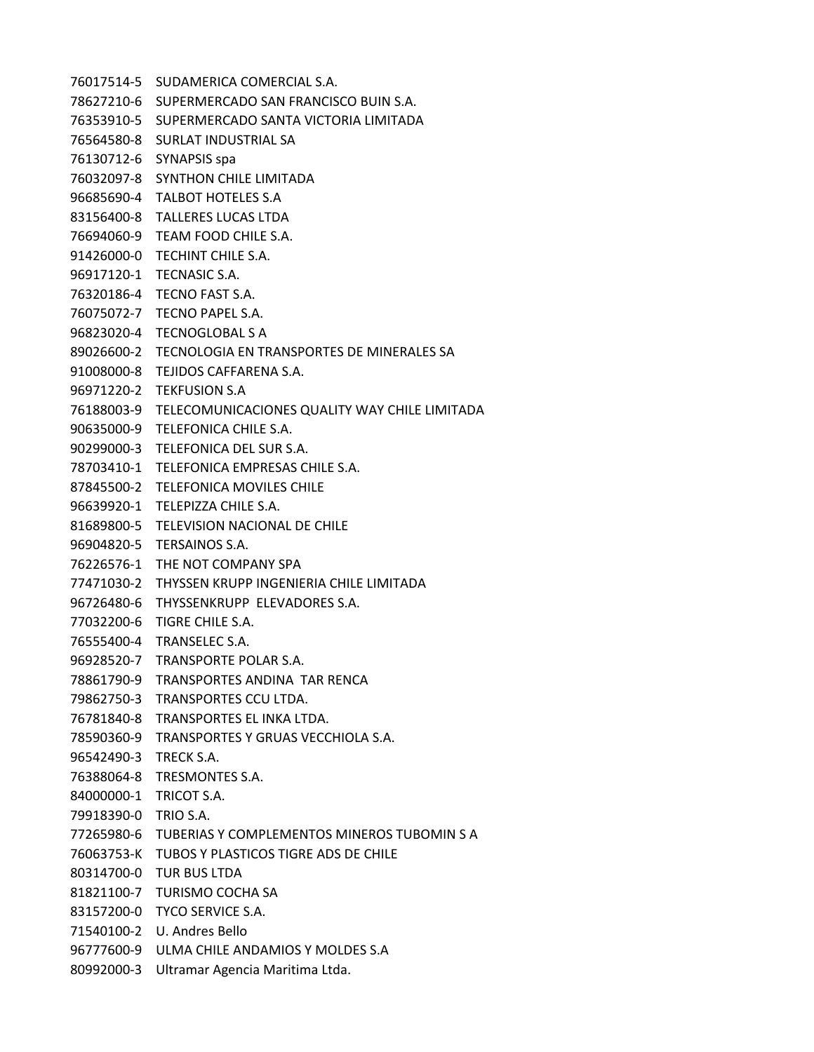76017514-5 SUDAMERICA COMERCIAL S.A. 78627210-6 SUPERMERCADO SAN FRANCISCO BUIN S.A. 76353910-5 SUPERMERCADO SANTA VICTORIA LIMITADA 76564580-8 SURLAT INDUSTRIAL SA 76130712-6 SYNAPSIS spa 76032097-8 SYNTHON CHILE LIMITADA 96685690-4 TALBOT HOTELES S.A 83156400-8 TALLERES LUCAS LTDA 76694060-9 TEAM FOOD CHILE S.A. 91426000-0 TECHINT CHILE S.A. 96917120-1 TECNASIC S.A. 76320186-4 TECNO FAST S.A. 76075072-7 TECNO PAPEL S.A. 96823020-4 TECNOGLOBAL S A 89026600-2 TECNOLOGIA EN TRANSPORTES DE MINERALES SA 91008000-8 TEJIDOS CAFFARENA S.A. 96971220-2 TEKFUSION S.A 76188003-9 TELECOMUNICACIONES QUALITY WAY CHILE LIMITADA 90635000-9 TELEFONICA CHILE S.A. 90299000-3 TELEFONICA DEL SUR S.A. 78703410-1 TELEFONICA EMPRESAS CHILE S.A. 87845500-2 TELEFONICA MOVILES CHILE 96639920-1 TELEPIZZA CHILE S.A. 81689800-5 TELEVISION NACIONAL DE CHILE 96904820-5 TERSAINOS S.A. 76226576-1 THE NOT COMPANY SPA 77471030-2 THYSSEN KRUPP INGENIERIA CHILE LIMITADA 96726480-6 THYSSENKRUPP ELEVADORES S.A. 77032200-6 TIGRE CHILE S.A. 76555400-4 TRANSELEC S.A. 96928520-7 TRANSPORTE POLAR S.A. 78861790-9 TRANSPORTES ANDINA TAR RENCA 79862750-3 TRANSPORTES CCU LTDA. 76781840-8 TRANSPORTES EL INKA LTDA. 78590360-9 TRANSPORTES Y GRUAS VECCHIOLA S.A. 96542490-3 TRECK S.A. 76388064-8 TRESMONTES S.A. 84000000-1 TRICOT S.A. 79918390-0 TRIO S.A. 77265980-6 TUBERIAS Y COMPLEMENTOS MINEROS TUBOMIN S A 76063753-K TUBOS Y PLASTICOS TIGRE ADS DE CHILE 80314700-0 TUR BUS LTDA 81821100-7 TURISMO COCHA SA 83157200-0 TYCO SERVICE S.A. 71540100-2 U. Andres Bello 96777600-9 ULMA CHILE ANDAMIOS Y MOLDES S.A 80992000-3 Ultramar Agencia Maritima Ltda.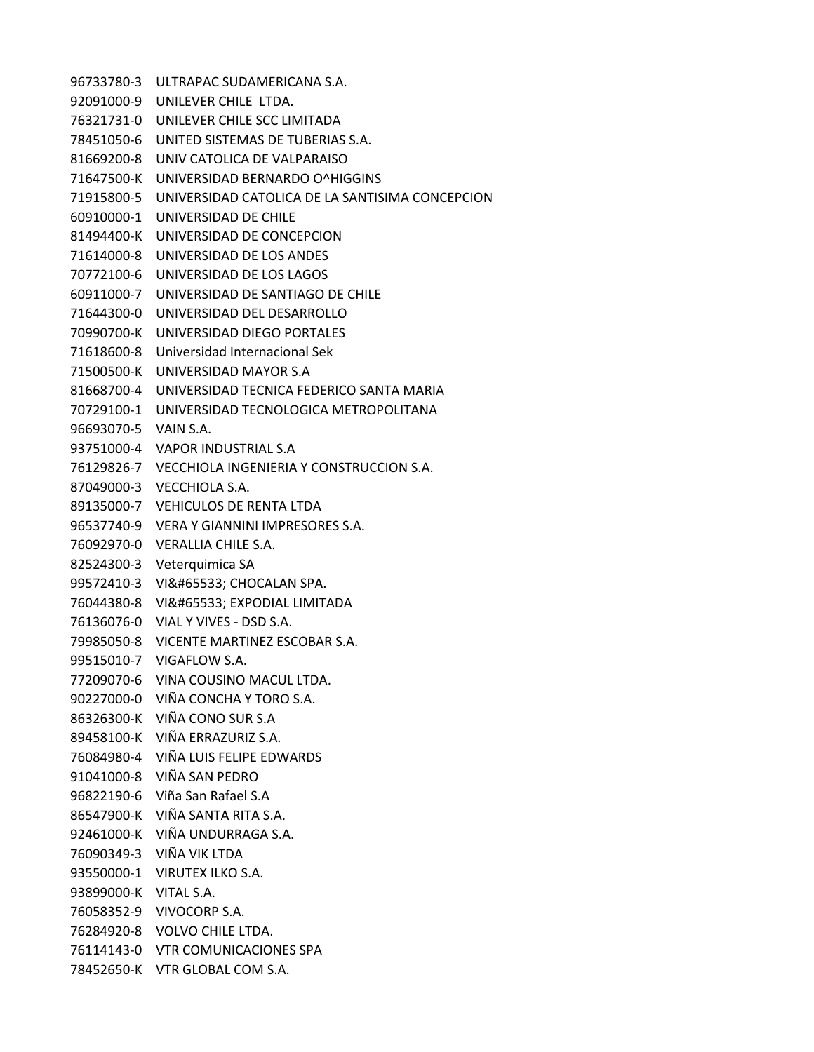96733780-3 ULTRAPAC SUDAMERICANA S.A. 92091000-9 UNILEVER CHILE LTDA. 76321731-0 UNILEVER CHILE SCC LIMITADA 78451050-6 UNITED SISTEMAS DE TUBERIAS S.A. 81669200-8 UNIV CATOLICA DE VALPARAISO 71647500-K UNIVERSIDAD BERNARDO O^HIGGINS 71915800-5 UNIVERSIDAD CATOLICA DE LA SANTISIMA CONCEPCION 60910000-1 UNIVERSIDAD DE CHILE 81494400-K UNIVERSIDAD DE CONCEPCION 71614000-8 UNIVERSIDAD DE LOS ANDES 70772100-6 UNIVERSIDAD DE LOS LAGOS 60911000-7 UNIVERSIDAD DE SANTIAGO DE CHILE 71644300-0 UNIVERSIDAD DEL DESARROLLO 70990700-K UNIVERSIDAD DIEGO PORTALES 71618600-8 Universidad Internacional Sek 71500500-K UNIVERSIDAD MAYOR S.A 81668700-4 UNIVERSIDAD TECNICA FEDERICO SANTA MARIA 70729100-1 UNIVERSIDAD TECNOLOGICA METROPOLITANA 96693070-5 VAIN S.A. 93751000-4 VAPOR INDUSTRIAL S.A 76129826-7 VECCHIOLA INGENIERIA Y CONSTRUCCION S.A. 87049000-3 VECCHIOLA S.A. 89135000-7 VEHICULOS DE RENTA LTDA 96537740-9 VERA Y GIANNINI IMPRESORES S.A. 76092970-0 VERALLIA CHILE S.A. 82524300-3 Veterquimica SA 99572410-3 VI� CHOCALAN SPA. 76044380-8 VI� EXPODIAL LIMITADA 76136076-0 VIAL Y VIVES - DSD S.A. 79985050-8 VICENTE MARTINEZ ESCOBAR S.A. 99515010-7 VIGAFLOW S.A. 77209070-6 VINA COUSINO MACUL LTDA. 90227000-0 VIÑA CONCHA Y TORO S.A. 86326300-K VIÑA CONO SUR S.A 89458100-K VIÑA ERRAZURIZ S.A. 76084980-4 VIÑA LUIS FELIPE EDWARDS 91041000-8 VIÑA SAN PEDRO 96822190-6 Viña San Rafael S.A 86547900-K VIÑA SANTA RITA S.A. 92461000-K VIÑA UNDURRAGA S.A. 76090349-3 VIÑA VIK LTDA 93550000-1 VIRUTEX ILKO S.A. 93899000-K VITAL S.A. 76058352-9 VIVOCORP S.A. 76284920-8 VOLVO CHILE LTDA. 76114143-0 VTR COMUNICACIONES SPA 78452650-K VTR GLOBAL COM S.A.